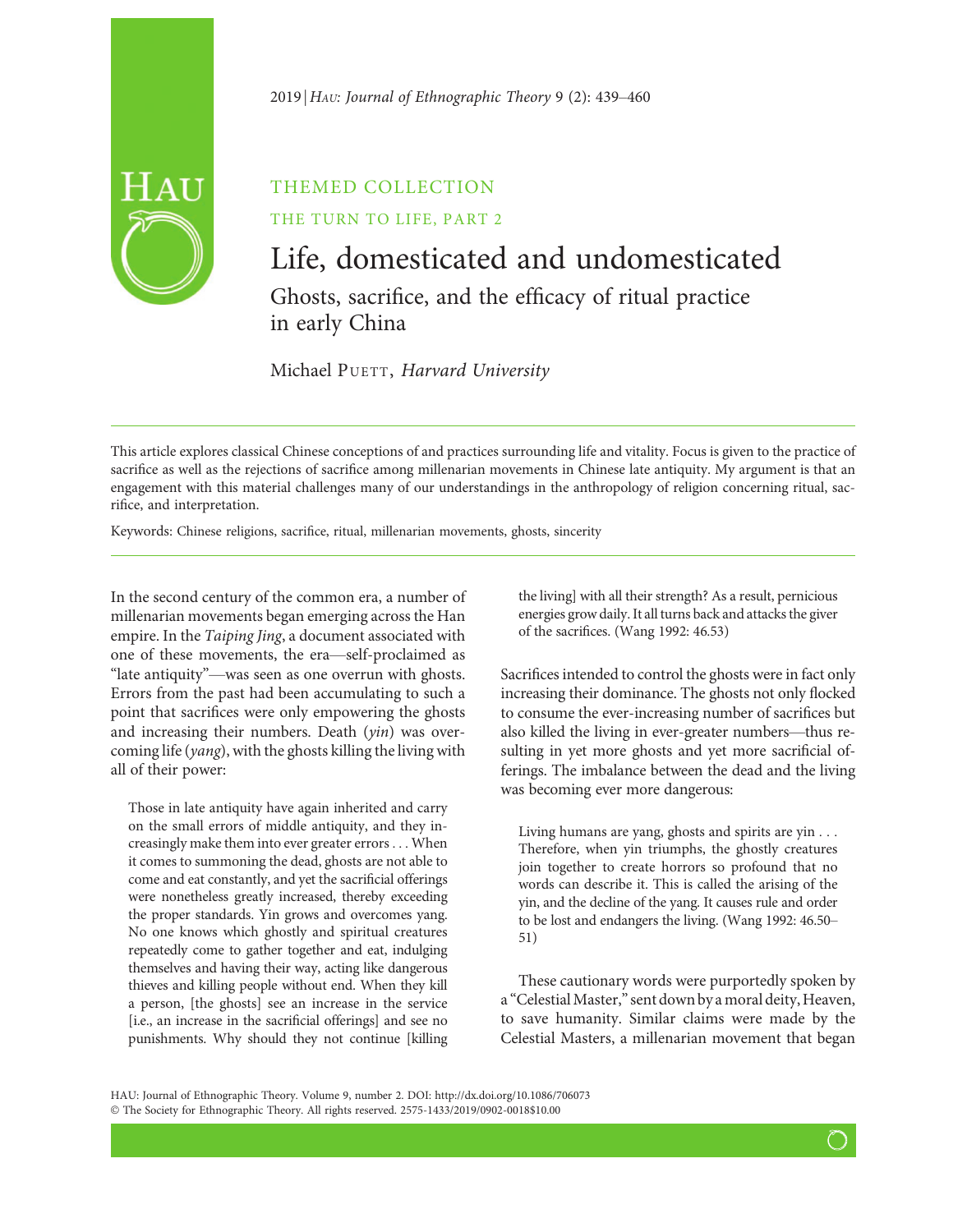# $2019$  HAU: Journal of Ethnographic Theory 9 (2): 439–460

# THEMED COLLECTION

# THE TURN TO LIFE, PART 2

# Life, domesticated and undomesticated Ghosts, sacrifice, and the efficacy of ritual practice in early China

Michael PUETT, Harvard University

This article explores classical Chinese conceptions of and practices surrounding life and vitality. Focus is given to the practice of sacrifice as well as the rejections of sacrifice among millenarian movements in Chinese late antiquity. My argument is that an engagement with this material challenges many of our understandings in the anthropology of religion concerning ritual, sacrifice, and interpretation.

Keywords: Chinese religions, sacrifice, ritual, millenarian movements, ghosts, sincerity

In the second century of the common era, a number of millenarian movements began emerging across the Han empire. In the Taiping Jing, a document associated with one of these movements, the era—self-proclaimed as "late antiquity"—was seen as one overrun with ghosts. Errors from the past had been accumulating to such a point that sacrifices were only empowering the ghosts and increasing their numbers. Death (yin) was overcoming life (yang), with the ghosts killing the living with all of their power:

Those in late antiquity have again inherited and carry on the small errors of middle antiquity, and they increasingly make them into ever greater errors ... When it comes to summoning the dead, ghosts are not able to come and eat constantly, and yet the sacrificial offerings were nonetheless greatly increased, thereby exceeding the proper standards. Yin grows and overcomes yang. No one knows which ghostly and spiritual creatures repeatedly come to gather together and eat, indulging themselves and having their way, acting like dangerous thieves and killing people without end. When they kill a person, [the ghosts] see an increase in the service [i.e., an increase in the sacrificial offerings] and see no punishments. Why should they not continue [killing the living] with all their strength? As a result, pernicious energies grow daily. It all turns back and attacks the giver of the sacrifices. (Wang 1992: 46.53)

Sacrifices intended to control the ghosts were in fact only increasing their dominance. The ghosts not only flocked to consume the ever-increasing number of sacrifices but also killed the living in ever-greater numbers—thus resulting in yet more ghosts and yet more sacrificial offerings. The imbalance between the dead and the living was becoming ever more dangerous:

Living humans are yang, ghosts and spirits are yin ... Therefore, when yin triumphs, the ghostly creatures join together to create horrors so profound that no words can describe it. This is called the arising of the yin, and the decline of the yang. It causes rule and order to be lost and endangers the living. (Wang 1992: 46.50– 51)

These cautionary words were purportedly spoken by a "Celestial Master," sent down by a moral deity, Heaven, to save humanity. Similar claims were made by the Celestial Masters, a millenarian movement that began

HAU: Journal of Ethnographic Theory. Volume 9, number 2. DOI: http://dx.doi.org/10.1086/706073 © The Society for Ethnographic Theory. All rights reserved. 2575-1433/2019/0902-0018\$10.00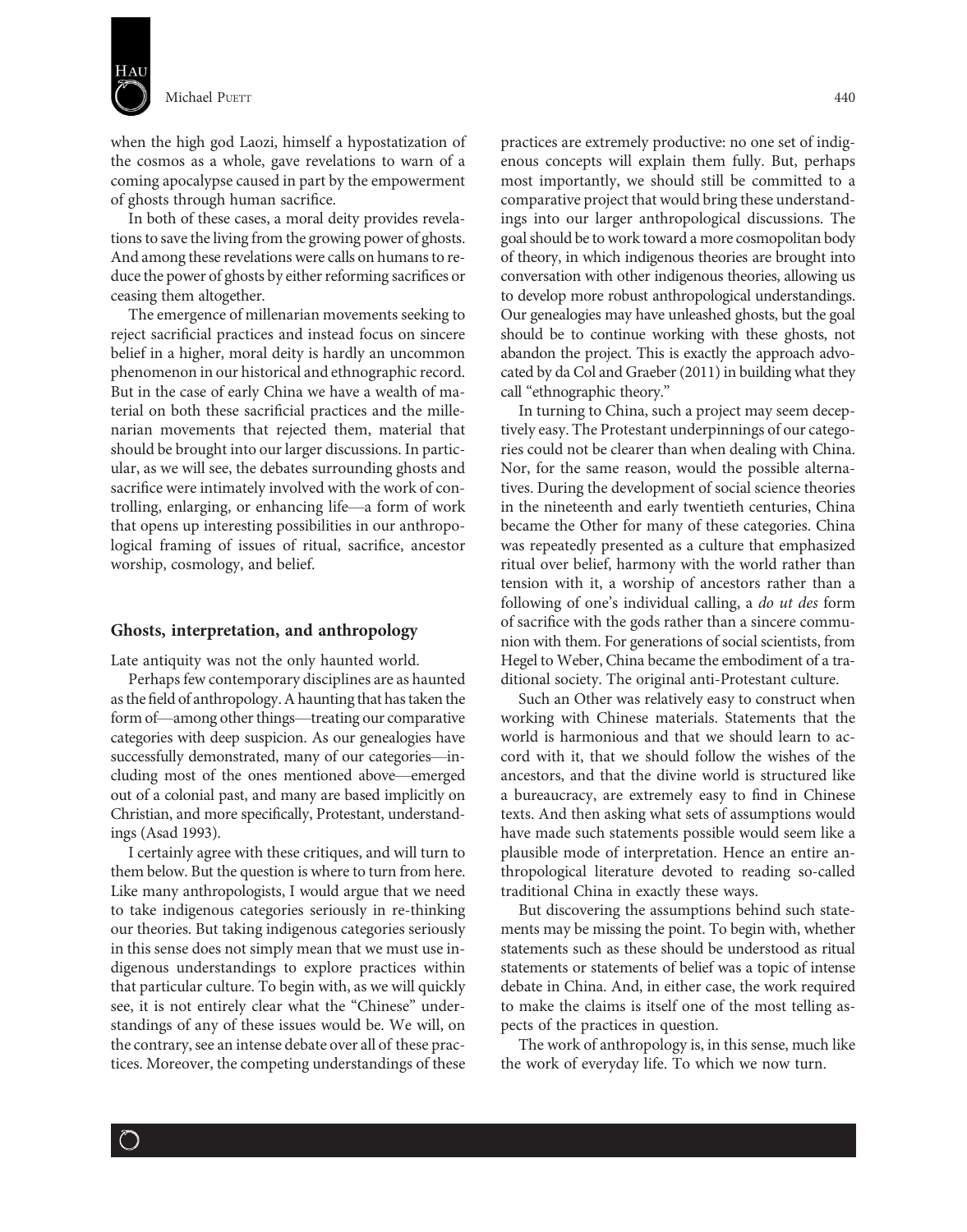

Michael Puerr 2008 2014 12:00 12:00 12:00 12:00 12:00 12:00 12:00 12:00 12:00 12:00 12:00 12:00 12:00 12:00 12:00 12:00 12:00 12:00 12:00 12:00 12:00 12:00 12:00 12:00 12:00 12:00 12:00 12:00 12:00 12:00 12:00 12:00 12:00

when the high god Laozi, himself a hypostatization of the cosmos as a whole, gave revelations to warn of a coming apocalypse caused in part by the empowerment of ghosts through human sacrifice.

In both of these cases, a moral deity provides revelations to save the living from the growing power of ghosts. And among these revelations were calls on humans to reduce the power of ghosts by either reforming sacrifices or ceasing them altogether.

The emergence of millenarian movements seeking to reject sacrificial practices and instead focus on sincere belief in a higher, moral deity is hardly an uncommon phenomenon in our historical and ethnographic record. But in the case of early China we have a wealth of material on both these sacrificial practices and the millenarian movements that rejected them, material that should be brought into our larger discussions. In particular, as we will see, the debates surrounding ghosts and sacrifice were intimately involved with the work of controlling, enlarging, or enhancing life—a form of work that opens up interesting possibilities in our anthropological framing of issues of ritual, sacrifice, ancestor worship, cosmology, and belief.

## Ghosts, interpretation, and anthropology

Late antiquity was not the only haunted world.

Perhaps few contemporary disciplines are as haunted as the field of anthropology. A haunting that has taken the form of—among other things—treating our comparative categories with deep suspicion. As our genealogies have successfully demonstrated, many of our categories—including most of the ones mentioned above—emerged out of a colonial past, and many are based implicitly on Christian, and more specifically, Protestant, understandings (Asad 1993).

I certainly agree with these critiques, and will turn to them below. But the question is where to turn from here. Like many anthropologists, I would argue that we need to take indigenous categories seriously in re-thinking our theories. But taking indigenous categories seriously in this sense does not simply mean that we must use indigenous understandings to explore practices within that particular culture. To begin with, as we will quickly see, it is not entirely clear what the "Chinese" understandings of any of these issues would be. We will, on the contrary, see an intense debate over all of these practices. Moreover, the competing understandings of these

 $\bigcirc$ 

practices are extremely productive: no one set of indigenous concepts will explain them fully. But, perhaps most importantly, we should still be committed to a comparative project that would bring these understandings into our larger anthropological discussions. The goal should be to work toward a more cosmopolitan body of theory, in which indigenous theories are brought into conversation with other indigenous theories, allowing us to develop more robust anthropological understandings. Our genealogies may have unleashed ghosts, but the goal should be to continue working with these ghosts, not abandon the project. This is exactly the approach advocated by da Col and Graeber (2011) in building what they call "ethnographic theory."

In turning to China, such a project may seem deceptively easy. The Protestant underpinnings of our categories could not be clearer than when dealing with China. Nor, for the same reason, would the possible alternatives. During the development of social science theories in the nineteenth and early twentieth centuries, China became the Other for many of these categories. China was repeatedly presented as a culture that emphasized ritual over belief, harmony with the world rather than tension with it, a worship of ancestors rather than a following of one's individual calling, a *do ut des* form of sacrifice with the gods rather than a sincere communion with them. For generations of social scientists, from Hegel to Weber, China became the embodiment of a traditional society. The original anti-Protestant culture.

Such an Other was relatively easy to construct when working with Chinese materials. Statements that the world is harmonious and that we should learn to accord with it, that we should follow the wishes of the ancestors, and that the divine world is structured like a bureaucracy, are extremely easy to find in Chinese texts. And then asking what sets of assumptions would have made such statements possible would seem like a plausible mode of interpretation. Hence an entire anthropological literature devoted to reading so-called traditional China in exactly these ways.

But discovering the assumptions behind such statements may be missing the point. To begin with, whether statements such as these should be understood as ritual statements or statements of belief was a topic of intense debate in China. And, in either case, the work required to make the claims is itself one of the most telling aspects of the practices in question.

The work of anthropology is, in this sense, much like the work of everyday life. To which we now turn.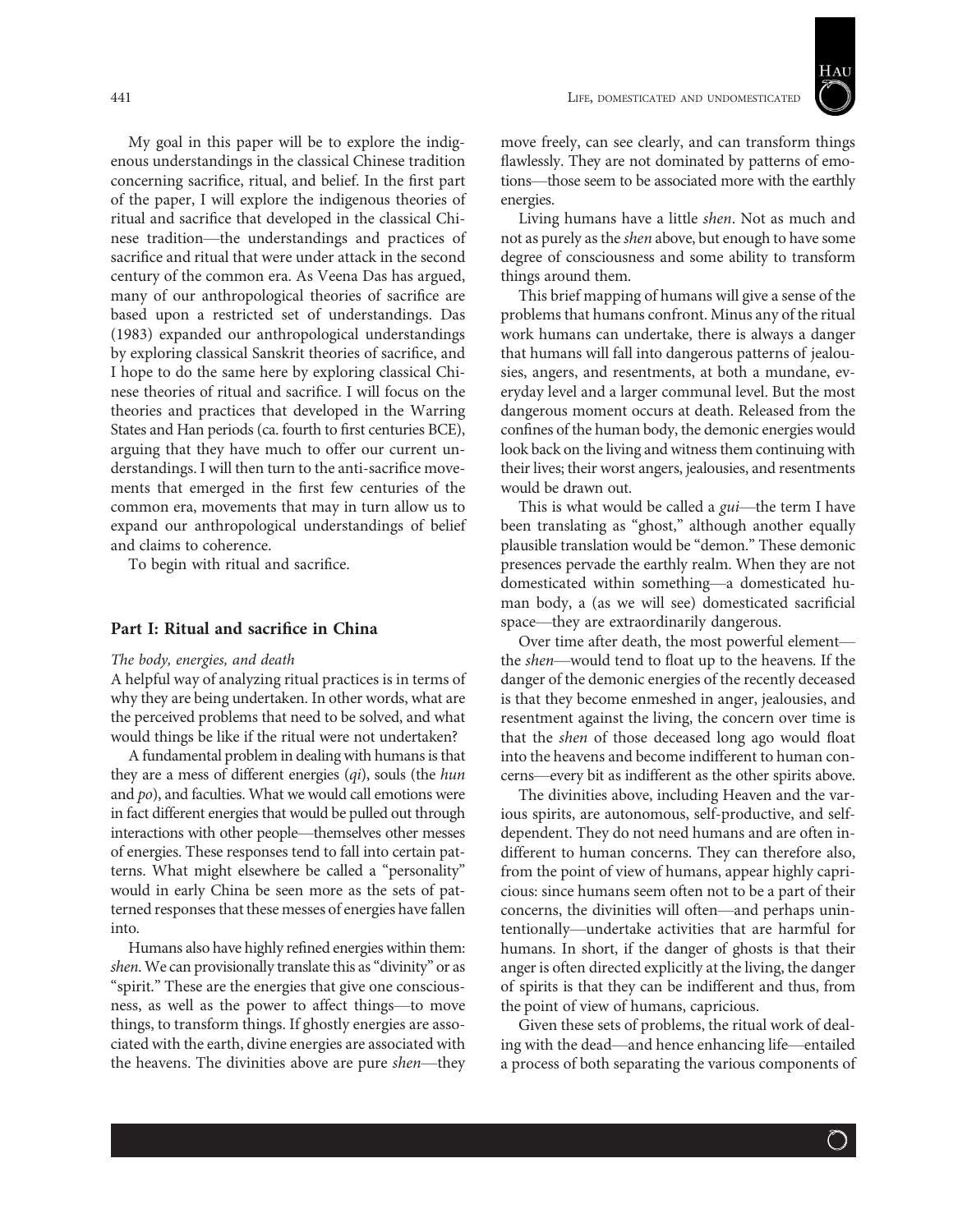

My goal in this paper will be to explore the indigenous understandings in the classical Chinese tradition concerning sacrifice, ritual, and belief. In the first part of the paper, I will explore the indigenous theories of ritual and sacrifice that developed in the classical Chinese tradition—the understandings and practices of sacrifice and ritual that were under attack in the second century of the common era. As Veena Das has argued, many of our anthropological theories of sacrifice are based upon a restricted set of understandings. Das (1983) expanded our anthropological understandings by exploring classical Sanskrit theories of sacrifice, and I hope to do the same here by exploring classical Chinese theories of ritual and sacrifice. I will focus on the theories and practices that developed in the Warring States and Han periods (ca. fourth to first centuries BCE), arguing that they have much to offer our current understandings. I will then turn to the anti-sacrifice movements that emerged in the first few centuries of the common era, movements that may in turn allow us to expand our anthropological understandings of belief and claims to coherence.

To begin with ritual and sacrifice.

# Part I: Ritual and sacrifice in China

#### The body, energies, and death

A helpful way of analyzing ritual practices is in terms of why they are being undertaken. In other words, what are the perceived problems that need to be solved, and what would things be like if the ritual were not undertaken?

A fundamental problem in dealing with humans is that they are a mess of different energies  $(qi)$ , souls (the hun and po), and faculties. What we would call emotions were in fact different energies that would be pulled out through interactions with other people—themselves other messes of energies. These responses tend to fall into certain patterns. What might elsewhere be called a "personality" would in early China be seen more as the sets of patterned responses that these messes of energies have fallen into.

Humans also have highly refined energies within them: shen. We can provisionally translate this as "divinity" or as "spirit." These are the energies that give one consciousness, as well as the power to affect things—to move things, to transform things. If ghostly energies are associated with the earth, divine energies are associated with the heavens. The divinities above are pure shen—they move freely, can see clearly, and can transform things flawlessly. They are not dominated by patterns of emotions—those seem to be associated more with the earthly energies.

Living humans have a little shen. Not as much and not as purely as the shen above, but enough to have some degree of consciousness and some ability to transform things around them.

This brief mapping of humans will give a sense of the problems that humans confront. Minus any of the ritual work humans can undertake, there is always a danger that humans will fall into dangerous patterns of jealousies, angers, and resentments, at both a mundane, everyday level and a larger communal level. But the most dangerous moment occurs at death. Released from the confines of the human body, the demonic energies would look back on the living and witness them continuing with their lives; their worst angers, jealousies, and resentments would be drawn out.

This is what would be called a gui-the term I have been translating as "ghost," although another equally plausible translation would be "demon." These demonic presences pervade the earthly realm. When they are not domesticated within something—a domesticated human body, a (as we will see) domesticated sacrificial space—they are extraordinarily dangerous.

Over time after death, the most powerful element the shen—would tend to float up to the heavens. If the danger of the demonic energies of the recently deceased is that they become enmeshed in anger, jealousies, and resentment against the living, the concern over time is that the shen of those deceased long ago would float into the heavens and become indifferent to human concerns—every bit as indifferent as the other spirits above.

The divinities above, including Heaven and the various spirits, are autonomous, self-productive, and selfdependent. They do not need humans and are often indifferent to human concerns. They can therefore also, from the point of view of humans, appear highly capricious: since humans seem often not to be a part of their concerns, the divinities will often—and perhaps unintentionally—undertake activities that are harmful for humans. In short, if the danger of ghosts is that their anger is often directed explicitly at the living, the danger of spirits is that they can be indifferent and thus, from the point of view of humans, capricious.

Given these sets of problems, the ritual work of dealing with the dead—and hence enhancing life—entailed a process of both separating the various components of

 $\bigcirc$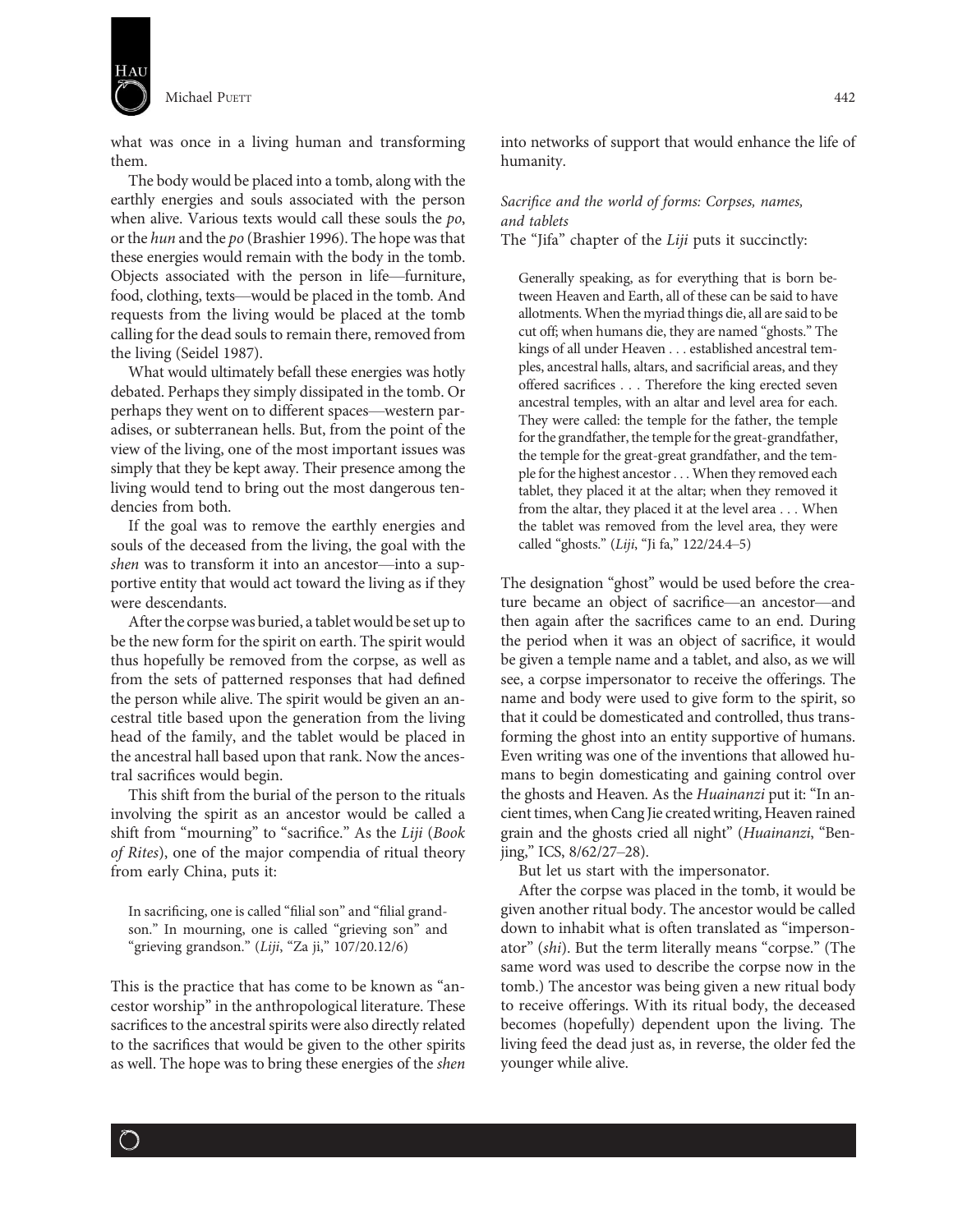

what was once in a living human and transforming them.

The body would be placed into a tomb, along with the earthly energies and souls associated with the person when alive. Various texts would call these souls the po, or the hun and the po (Brashier 1996). The hope was that these energies would remain with the body in the tomb. Objects associated with the person in life—furniture, food, clothing, texts—would be placed in the tomb. And requests from the living would be placed at the tomb calling for the dead souls to remain there, removed from the living (Seidel 1987).

What would ultimately befall these energies was hotly debated. Perhaps they simply dissipated in the tomb. Or perhaps they went on to different spaces—western paradises, or subterranean hells. But, from the point of the view of the living, one of the most important issues was simply that they be kept away. Their presence among the living would tend to bring out the most dangerous tendencies from both.

If the goal was to remove the earthly energies and souls of the deceased from the living, the goal with the shen was to transform it into an ancestor—into a supportive entity that would act toward the living as if they were descendants.

After the corpse was buried, a tablet would be set up to be the new form for the spirit on earth. The spirit would thus hopefully be removed from the corpse, as well as from the sets of patterned responses that had defined the person while alive. The spirit would be given an ancestral title based upon the generation from the living head of the family, and the tablet would be placed in the ancestral hall based upon that rank. Now the ancestral sacrifices would begin.

This shift from the burial of the person to the rituals involving the spirit as an ancestor would be called a shift from "mourning" to "sacrifice." As the Liji (Book of Rites), one of the major compendia of ritual theory from early China, puts it:

In sacrificing, one is called "filial son" and "filial grandson." In mourning, one is called "grieving son" and "grieving grandson." (Liji, "Za ji," 107/20.12/6)

This is the practice that has come to be known as "ancestor worship" in the anthropological literature. These sacrifices to the ancestral spirits were also directly related to the sacrifices that would be given to the other spirits as well. The hope was to bring these energies of the shen

 $\bigcirc$ 

into networks of support that would enhance the life of humanity.

# Sacrifice and the world of forms: Corpses, names, and tablets

The "Jifa" chapter of the Liji puts it succinctly:

Generally speaking, as for everything that is born between Heaven and Earth, all of these can be said to have allotments. When the myriad things die, all are said to be cut off; when humans die, they are named "ghosts." The kings of all under Heaven ... established ancestral temples, ancestral halls, altars, and sacrificial areas, and they offered sacrifices ... Therefore the king erected seven ancestral temples, with an altar and level area for each. They were called: the temple for the father, the temple for the grandfather, the temple for the great-grandfather, the temple for the great-great grandfather, and the temple for the highest ancestor... When they removed each tablet, they placed it at the altar; when they removed it from the altar, they placed it at the level area ... When the tablet was removed from the level area, they were called "ghosts." (Liji, "Ji fa," 122/24.4–5)

The designation "ghost" would be used before the creature became an object of sacrifice—an ancestor—and then again after the sacrifices came to an end. During the period when it was an object of sacrifice, it would be given a temple name and a tablet, and also, as we will see, a corpse impersonator to receive the offerings. The name and body were used to give form to the spirit, so that it could be domesticated and controlled, thus transforming the ghost into an entity supportive of humans. Even writing was one of the inventions that allowed humans to begin domesticating and gaining control over the ghosts and Heaven. As the Huainanzi put it: "In ancient times, when Cang Jie created writing, Heaven rained grain and the ghosts cried all night" (Huainanzi, "Benjing," ICS, 8/62/27–28).

But let us start with the impersonator.

After the corpse was placed in the tomb, it would be given another ritual body. The ancestor would be called down to inhabit what is often translated as "impersonator" (shi). But the term literally means "corpse." (The same word was used to describe the corpse now in the tomb.) The ancestor was being given a new ritual body to receive offerings. With its ritual body, the deceased becomes (hopefully) dependent upon the living. The living feed the dead just as, in reverse, the older fed the younger while alive.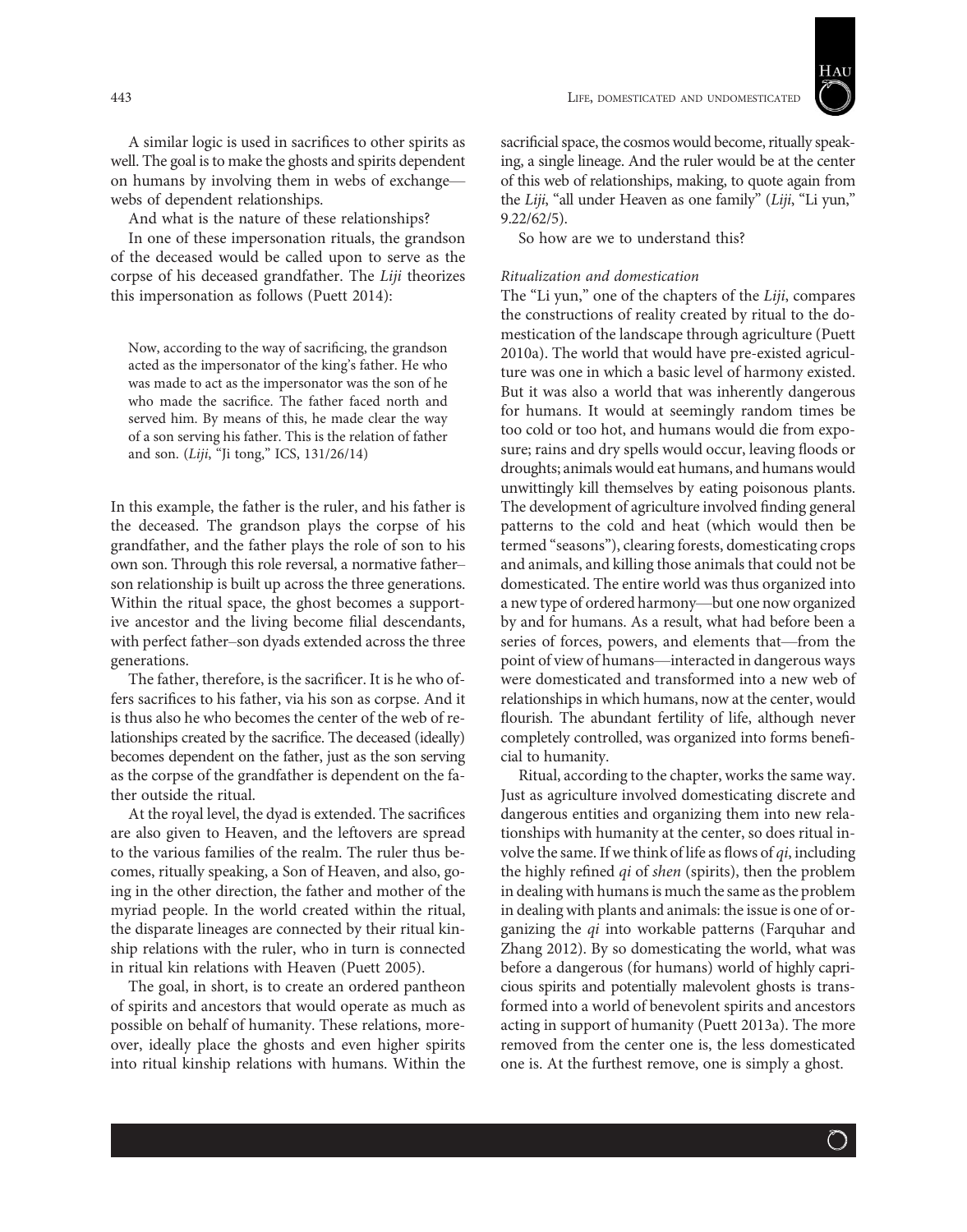

A similar logic is used in sacrifices to other spirits as well. The goal is to make the ghosts and spirits dependent on humans by involving them in webs of exchange webs of dependent relationships.

And what is the nature of these relationships?

In one of these impersonation rituals, the grandson of the deceased would be called upon to serve as the corpse of his deceased grandfather. The Liji theorizes this impersonation as follows (Puett 2014):

Now, according to the way of sacrificing, the grandson acted as the impersonator of the king's father. He who was made to act as the impersonator was the son of he who made the sacrifice. The father faced north and served him. By means of this, he made clear the way of a son serving his father. This is the relation of father and son. (Liji, "Ji tong," ICS, 131/26/14)

In this example, the father is the ruler, and his father is the deceased. The grandson plays the corpse of his grandfather, and the father plays the role of son to his own son. Through this role reversal, a normative father– son relationship is built up across the three generations. Within the ritual space, the ghost becomes a supportive ancestor and the living become filial descendants, with perfect father–son dyads extended across the three generations.

The father, therefore, is the sacrificer. It is he who offers sacrifices to his father, via his son as corpse. And it is thus also he who becomes the center of the web of relationships created by the sacrifice. The deceased (ideally) becomes dependent on the father, just as the son serving as the corpse of the grandfather is dependent on the father outside the ritual.

At the royal level, the dyad is extended. The sacrifices are also given to Heaven, and the leftovers are spread to the various families of the realm. The ruler thus becomes, ritually speaking, a Son of Heaven, and also, going in the other direction, the father and mother of the myriad people. In the world created within the ritual, the disparate lineages are connected by their ritual kinship relations with the ruler, who in turn is connected in ritual kin relations with Heaven (Puett 2005).

The goal, in short, is to create an ordered pantheon of spirits and ancestors that would operate as much as possible on behalf of humanity. These relations, moreover, ideally place the ghosts and even higher spirits into ritual kinship relations with humans. Within the

sacrificial space, the cosmos would become, ritually speaking, a single lineage. And the ruler would be at the center of this web of relationships, making, to quote again from the Liji, "all under Heaven as one family" (Liji, "Li yun," 9.22/62/5).

So how are we to understand this?

# Ritualization and domestication

The "Li yun," one of the chapters of the Liji, compares the constructions of reality created by ritual to the domestication of the landscape through agriculture (Puett 2010a). The world that would have pre-existed agriculture was one in which a basic level of harmony existed. But it was also a world that was inherently dangerous for humans. It would at seemingly random times be too cold or too hot, and humans would die from exposure; rains and dry spells would occur, leaving floods or droughts; animals would eat humans, and humans would unwittingly kill themselves by eating poisonous plants. The development of agriculture involved finding general patterns to the cold and heat (which would then be termed "seasons"), clearing forests, domesticating crops and animals, and killing those animals that could not be domesticated. The entire world was thus organized into a new type of ordered harmony—but one now organized by and for humans. As a result, what had before been a series of forces, powers, and elements that—from the point of view of humans—interacted in dangerous ways were domesticated and transformed into a new web of relationships in which humans, now at the center, would flourish. The abundant fertility of life, although never completely controlled, was organized into forms beneficial to humanity.

Ritual, according to the chapter, works the same way. Just as agriculture involved domesticating discrete and dangerous entities and organizing them into new relationships with humanity at the center, so does ritual involve the same. If we think of life as flows of  $qi$ , including the highly refined qi of shen (spirits), then the problem in dealing with humans is much the same as the problem in dealing with plants and animals: the issue is one of organizing the qi into workable patterns (Farquhar and Zhang 2012). By so domesticating the world, what was before a dangerous (for humans) world of highly capricious spirits and potentially malevolent ghosts is transformed into a world of benevolent spirits and ancestors acting in support of humanity (Puett 2013a). The more removed from the center one is, the less domesticated one is. At the furthest remove, one is simply a ghost.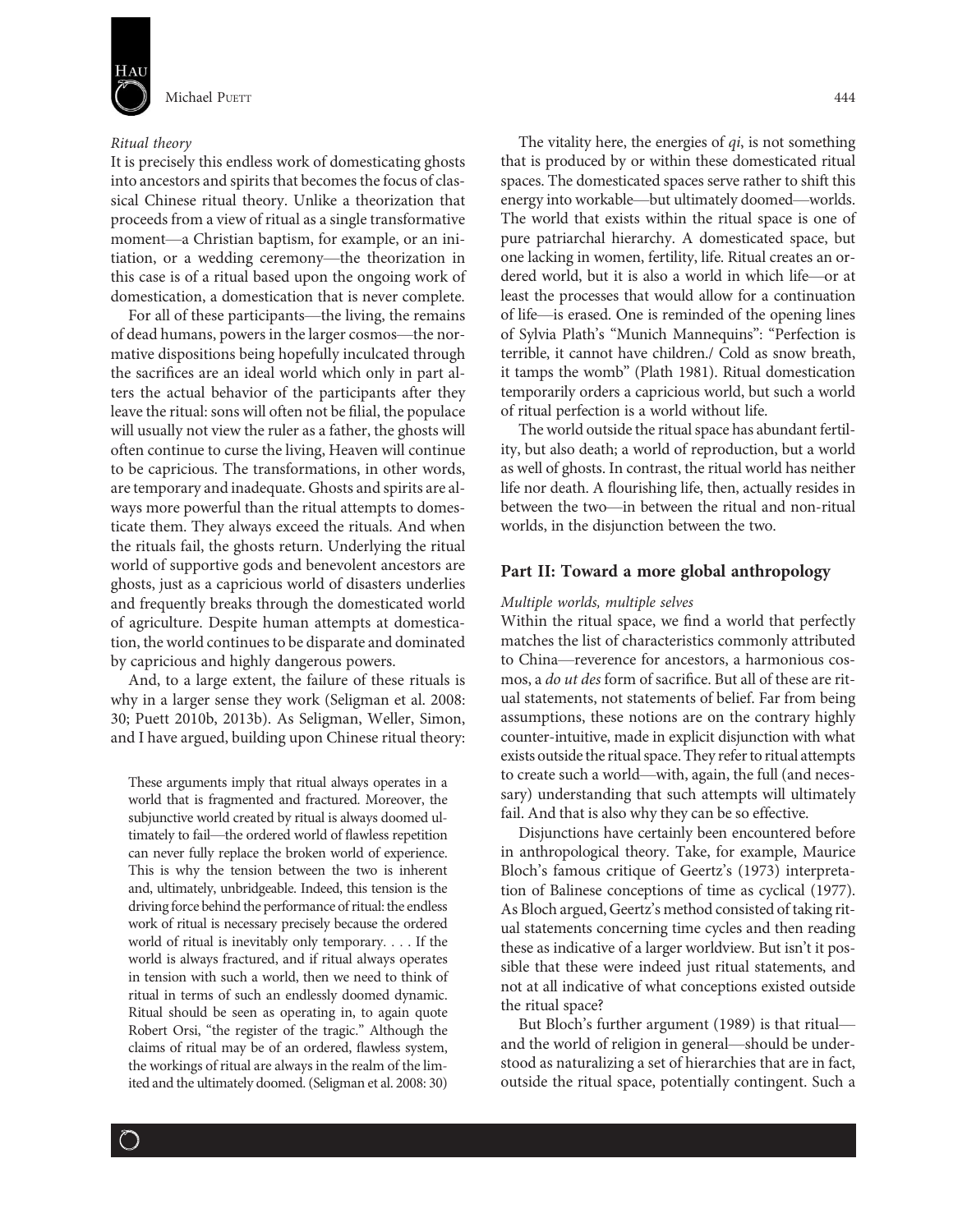

## Ritual theory

It is precisely this endless work of domesticating ghosts into ancestors and spirits that becomes the focus of classical Chinese ritual theory. Unlike a theorization that proceeds from a view of ritual as a single transformative moment—a Christian baptism, for example, or an initiation, or a wedding ceremony—the theorization in this case is of a ritual based upon the ongoing work of domestication, a domestication that is never complete.

For all of these participants—the living, the remains of dead humans, powers in the larger cosmos—the normative dispositions being hopefully inculcated through the sacrifices are an ideal world which only in part alters the actual behavior of the participants after they leave the ritual: sons will often not be filial, the populace will usually not view the ruler as a father, the ghosts will often continue to curse the living, Heaven will continue to be capricious. The transformations, in other words, are temporary and inadequate. Ghosts and spirits are always more powerful than the ritual attempts to domesticate them. They always exceed the rituals. And when the rituals fail, the ghosts return. Underlying the ritual world of supportive gods and benevolent ancestors are ghosts, just as a capricious world of disasters underlies and frequently breaks through the domesticated world of agriculture. Despite human attempts at domestication, the world continues to be disparate and dominated by capricious and highly dangerous powers.

And, to a large extent, the failure of these rituals is why in a larger sense they work (Seligman et al. 2008: 30; Puett 2010b, 2013b). As Seligman, Weller, Simon, and I have argued, building upon Chinese ritual theory:

These arguments imply that ritual always operates in a world that is fragmented and fractured. Moreover, the subjunctive world created by ritual is always doomed ultimately to fail—the ordered world of flawless repetition can never fully replace the broken world of experience. This is why the tension between the two is inherent and, ultimately, unbridgeable. Indeed, this tension is the driving force behind the performance of ritual: the endless work of ritual is necessary precisely because the ordered world of ritual is inevitably only temporary... . If the world is always fractured, and if ritual always operates in tension with such a world, then we need to think of ritual in terms of such an endlessly doomed dynamic. Ritual should be seen as operating in, to again quote Robert Orsi, "the register of the tragic." Although the claims of ritual may be of an ordered, flawless system, the workings of ritual are always in the realm of the limited and the ultimately doomed. (Seligman et al. 2008: 30)

The vitality here, the energies of  $qi$ , is not something that is produced by or within these domesticated ritual spaces. The domesticated spaces serve rather to shift this energy into workable—but ultimately doomed—worlds. The world that exists within the ritual space is one of pure patriarchal hierarchy. A domesticated space, but one lacking in women, fertility, life. Ritual creates an ordered world, but it is also a world in which life—or at least the processes that would allow for a continuation of life—is erased. One is reminded of the opening lines of Sylvia Plath's "Munich Mannequins": "Perfection is terrible, it cannot have children./ Cold as snow breath, it tamps the womb" (Plath 1981). Ritual domestication temporarily orders a capricious world, but such a world of ritual perfection is a world without life.

The world outside the ritual space has abundant fertility, but also death; a world of reproduction, but a world as well of ghosts. In contrast, the ritual world has neither life nor death. A flourishing life, then, actually resides in between the two—in between the ritual and non-ritual worlds, in the disjunction between the two.

# Part II: Toward a more global anthropology

## Multiple worlds, multiple selves

Within the ritual space, we find a world that perfectly matches the list of characteristics commonly attributed to China—reverence for ancestors, a harmonious cosmos, a do ut des form of sacrifice. But all of these are ritual statements, not statements of belief. Far from being assumptions, these notions are on the contrary highly counter-intuitive, made in explicit disjunction with what exists outside the ritual space. They refer to ritual attempts to create such a world—with, again, the full (and necessary) understanding that such attempts will ultimately fail. And that is also why they can be so effective.

Disjunctions have certainly been encountered before in anthropological theory. Take, for example, Maurice Bloch's famous critique of Geertz's (1973) interpretation of Balinese conceptions of time as cyclical (1977). As Bloch argued, Geertz's method consisted of taking ritual statements concerning time cycles and then reading these as indicative of a larger worldview. But isn't it possible that these were indeed just ritual statements, and not at all indicative of what conceptions existed outside the ritual space?

But Bloch's further argument (1989) is that ritual and the world of religion in general—should be understood as naturalizing a set of hierarchies that are in fact, outside the ritual space, potentially contingent. Such a

 $(\hat{\phantom{a}})$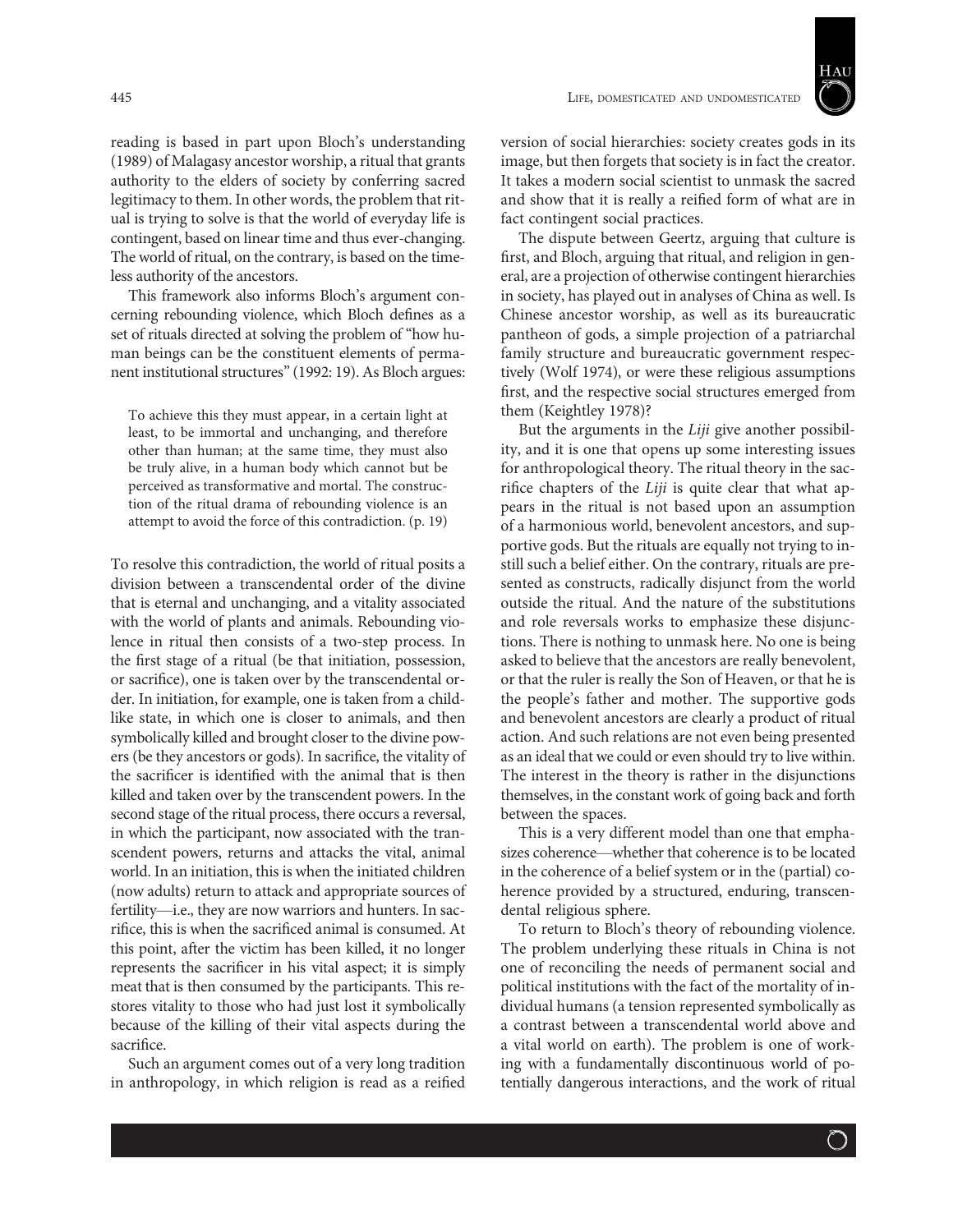

reading is based in part upon Bloch's understanding (1989) of Malagasy ancestor worship, a ritual that grants authority to the elders of society by conferring sacred legitimacy to them. In other words, the problem that ritual is trying to solve is that the world of everyday life is contingent, based on linear time and thus ever-changing. The world of ritual, on the contrary, is based on the timeless authority of the ancestors.

This framework also informs Bloch's argument concerning rebounding violence, which Bloch defines as a set of rituals directed at solving the problem of "how human beings can be the constituent elements of permanent institutional structures"(1992: 19). As Bloch argues:

To achieve this they must appear, in a certain light at least, to be immortal and unchanging, and therefore other than human; at the same time, they must also be truly alive, in a human body which cannot but be perceived as transformative and mortal. The construction of the ritual drama of rebounding violence is an attempt to avoid the force of this contradiction. (p. 19)

To resolve this contradiction, the world of ritual posits a division between a transcendental order of the divine that is eternal and unchanging, and a vitality associated with the world of plants and animals. Rebounding violence in ritual then consists of a two-step process. In the first stage of a ritual (be that initiation, possession, or sacrifice), one is taken over by the transcendental order. In initiation, for example, one is taken from a childlike state, in which one is closer to animals, and then symbolically killed and brought closer to the divine powers (be they ancestors or gods). In sacrifice, the vitality of the sacrificer is identified with the animal that is then killed and taken over by the transcendent powers. In the second stage of the ritual process, there occurs a reversal, in which the participant, now associated with the transcendent powers, returns and attacks the vital, animal world. In an initiation, this is when the initiated children (now adults) return to attack and appropriate sources of fertility—i.e., they are now warriors and hunters. In sacrifice, this is when the sacrificed animal is consumed. At this point, after the victim has been killed, it no longer represents the sacrificer in his vital aspect; it is simply meat that is then consumed by the participants. This restores vitality to those who had just lost it symbolically because of the killing of their vital aspects during the sacrifice.

Such an argument comes out of a very long tradition in anthropology, in which religion is read as a reified

version of social hierarchies: society creates gods in its image, but then forgets that society is in fact the creator. It takes a modern social scientist to unmask the sacred and show that it is really a reified form of what are in fact contingent social practices.

The dispute between Geertz, arguing that culture is first, and Bloch, arguing that ritual, and religion in general, are a projection of otherwise contingent hierarchies in society, has played out in analyses of China as well. Is Chinese ancestor worship, as well as its bureaucratic pantheon of gods, a simple projection of a patriarchal family structure and bureaucratic government respectively (Wolf 1974), or were these religious assumptions first, and the respective social structures emerged from them (Keightley 1978)?

But the arguments in the Liji give another possibility, and it is one that opens up some interesting issues for anthropological theory. The ritual theory in the sacrifice chapters of the Liji is quite clear that what appears in the ritual is not based upon an assumption of a harmonious world, benevolent ancestors, and supportive gods. But the rituals are equally not trying to instill such a belief either. On the contrary, rituals are presented as constructs, radically disjunct from the world outside the ritual. And the nature of the substitutions and role reversals works to emphasize these disjunctions. There is nothing to unmask here. No one is being asked to believe that the ancestors are really benevolent, or that the ruler is really the Son of Heaven, or that he is the people's father and mother. The supportive gods and benevolent ancestors are clearly a product of ritual action. And such relations are not even being presented as an ideal that we could or even should try to live within. The interest in the theory is rather in the disjunctions themselves, in the constant work of going back and forth between the spaces.

This is a very different model than one that emphasizes coherence—whether that coherence is to be located in the coherence of a belief system or in the (partial) coherence provided by a structured, enduring, transcendental religious sphere.

To return to Bloch's theory of rebounding violence. The problem underlying these rituals in China is not one of reconciling the needs of permanent social and political institutions with the fact of the mortality of individual humans (a tension represented symbolically as a contrast between a transcendental world above and a vital world on earth). The problem is one of working with a fundamentally discontinuous world of potentially dangerous interactions, and the work of ritual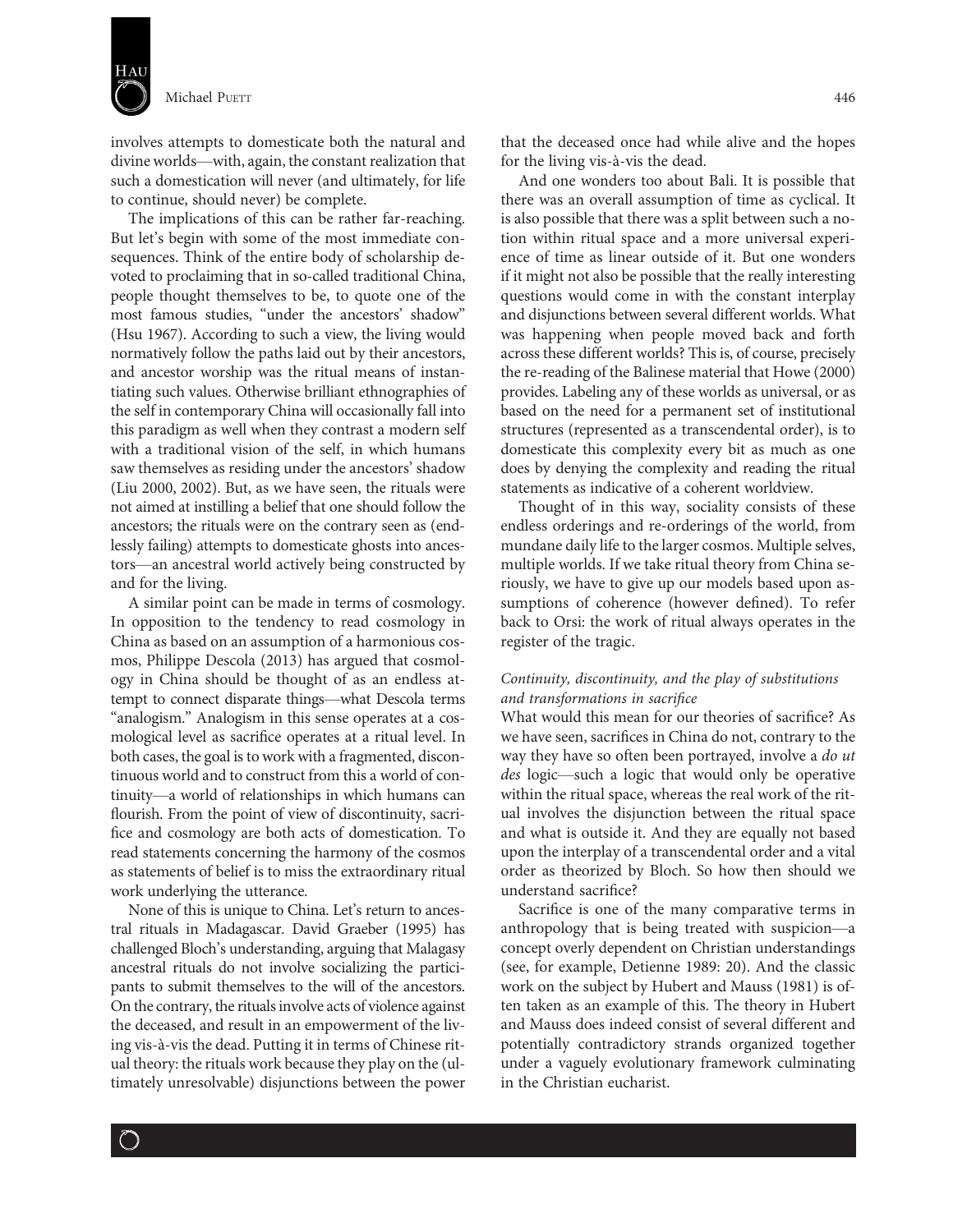

involves attempts to domesticate both the natural and divine worlds—with, again, the constant realization that such a domestication will never (and ultimately, for life to continue, should never) be complete.

The implications of this can be rather far-reaching. But let's begin with some of the most immediate consequences. Think of the entire body of scholarship devoted to proclaiming that in so-called traditional China, people thought themselves to be, to quote one of the most famous studies, "under the ancestors' shadow" (Hsu 1967). According to such a view, the living would normatively follow the paths laid out by their ancestors, and ancestor worship was the ritual means of instantiating such values. Otherwise brilliant ethnographies of the self in contemporary China will occasionally fall into this paradigm as well when they contrast a modern self with a traditional vision of the self, in which humans saw themselves as residing under the ancestors' shadow (Liu 2000, 2002). But, as we have seen, the rituals were not aimed at instilling a belief that one should follow the ancestors; the rituals were on the contrary seen as (endlessly failing) attempts to domesticate ghosts into ancestors—an ancestral world actively being constructed by and for the living.

A similar point can be made in terms of cosmology. In opposition to the tendency to read cosmology in China as based on an assumption of a harmonious cosmos, Philippe Descola (2013) has argued that cosmology in China should be thought of as an endless attempt to connect disparate things—what Descola terms "analogism." Analogism in this sense operates at a cosmological level as sacrifice operates at a ritual level. In both cases, the goal is to work with a fragmented, discontinuous world and to construct from this a world of continuity—a world of relationships in which humans can flourish. From the point of view of discontinuity, sacrifice and cosmology are both acts of domestication. To read statements concerning the harmony of the cosmos as statements of belief is to miss the extraordinary ritual work underlying the utterance.

None of this is unique to China. Let's return to ancestral rituals in Madagascar. David Graeber (1995) has challenged Bloch's understanding, arguing that Malagasy ancestral rituals do not involve socializing the participants to submit themselves to the will of the ancestors. On the contrary, the rituals involve acts of violence against the deceased, and result in an empowerment of the living vis-à-vis the dead. Putting it in terms of Chinese ritual theory: the rituals work because they play on the (ultimately unresolvable) disjunctions between the power

 $\big)$ 

that the deceased once had while alive and the hopes for the living vis-à-vis the dead.

And one wonders too about Bali. It is possible that there was an overall assumption of time as cyclical. It is also possible that there was a split between such a notion within ritual space and a more universal experience of time as linear outside of it. But one wonders if it might not also be possible that the really interesting questions would come in with the constant interplay and disjunctions between several different worlds. What was happening when people moved back and forth across these different worlds? This is, of course, precisely the re-reading of the Balinese material that Howe (2000) provides. Labeling any of these worlds as universal, or as based on the need for a permanent set of institutional structures (represented as a transcendental order), is to domesticate this complexity every bit as much as one does by denying the complexity and reading the ritual statements as indicative of a coherent worldview.

Thought of in this way, sociality consists of these endless orderings and re-orderings of the world, from mundane daily life to the larger cosmos. Multiple selves, multiple worlds. If we take ritual theory from China seriously, we have to give up our models based upon assumptions of coherence (however defined). To refer back to Orsi: the work of ritual always operates in the register of the tragic.

# Continuity, discontinuity, and the play of substitutions and transformations in sacrifice

What would this mean for our theories of sacrifice? As we have seen, sacrifices in China do not, contrary to the way they have so often been portrayed, involve a *do ut* des logic—such a logic that would only be operative within the ritual space, whereas the real work of the ritual involves the disjunction between the ritual space and what is outside it. And they are equally not based upon the interplay of a transcendental order and a vital order as theorized by Bloch. So how then should we understand sacrifice?

Sacrifice is one of the many comparative terms in anthropology that is being treated with suspicion—a concept overly dependent on Christian understandings (see, for example, Detienne 1989: 20). And the classic work on the subject by Hubert and Mauss (1981) is often taken as an example of this. The theory in Hubert and Mauss does indeed consist of several different and potentially contradictory strands organized together under a vaguely evolutionary framework culminating in the Christian eucharist.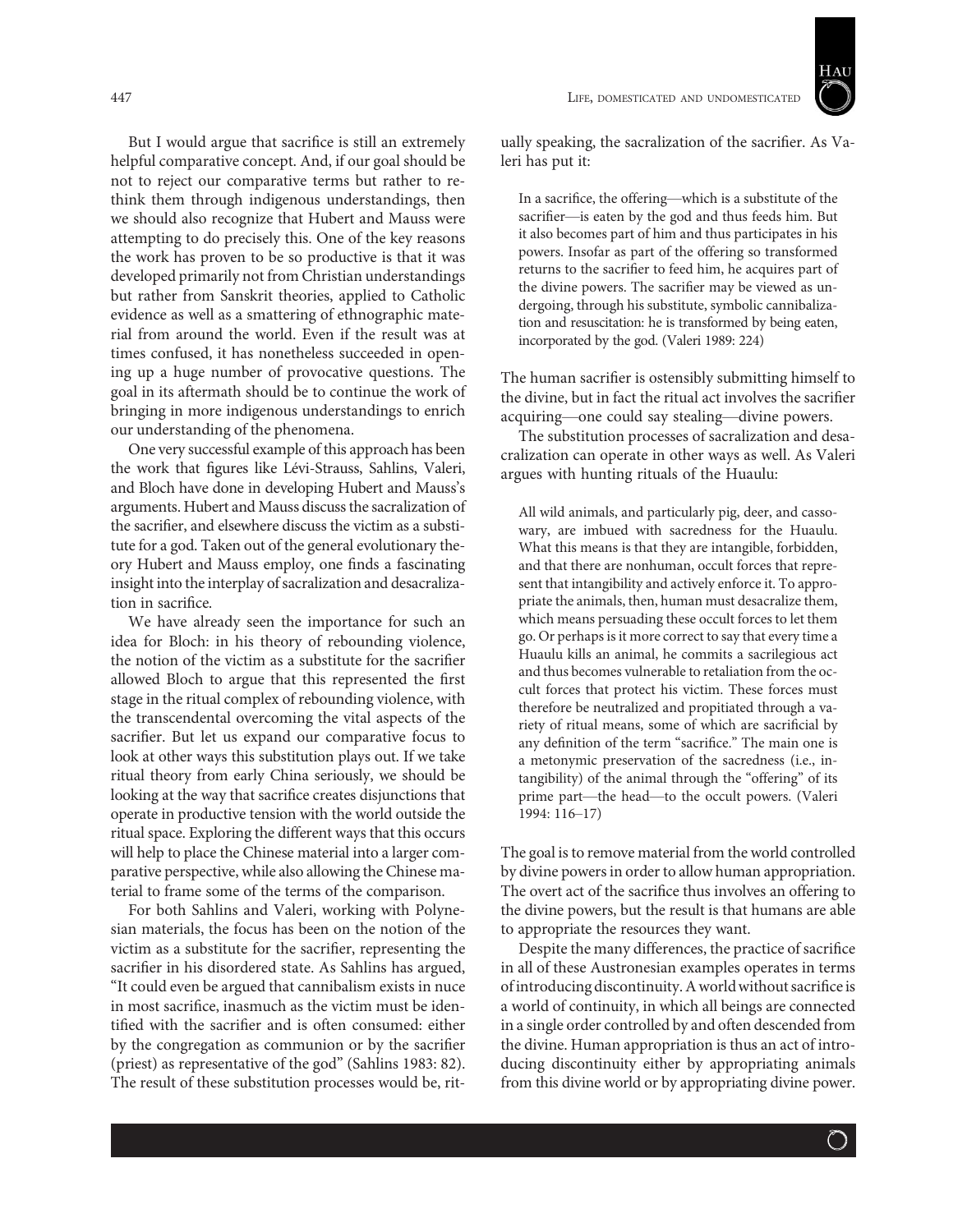

ually speaking, the sacralization of the sacrifier. As Valeri has put it:

In a sacrifice, the offering—which is a substitute of the sacrifier—is eaten by the god and thus feeds him. But it also becomes part of him and thus participates in his powers. Insofar as part of the offering so transformed returns to the sacrifier to feed him, he acquires part of the divine powers. The sacrifier may be viewed as undergoing, through his substitute, symbolic cannibalization and resuscitation: he is transformed by being eaten, incorporated by the god. (Valeri 1989: 224)

The human sacrifier is ostensibly submitting himself to the divine, but in fact the ritual act involves the sacrifier acquiring—one could say stealing—divine powers.

The substitution processes of sacralization and desacralization can operate in other ways as well. As Valeri argues with hunting rituals of the Huaulu:

All wild animals, and particularly pig, deer, and cassowary, are imbued with sacredness for the Huaulu. What this means is that they are intangible, forbidden, and that there are nonhuman, occult forces that represent that intangibility and actively enforce it. To appropriate the animals, then, human must desacralize them, which means persuading these occult forces to let them go. Or perhaps is it more correct to say that every time a Huaulu kills an animal, he commits a sacrilegious act and thus becomes vulnerable to retaliation from the occult forces that protect his victim. These forces must therefore be neutralized and propitiated through a variety of ritual means, some of which are sacrificial by any definition of the term "sacrifice." The main one is a metonymic preservation of the sacredness (i.e., intangibility) of the animal through the "offering" of its prime part—the head—to the occult powers. (Valeri 1994: 116–17)

The goal is to remove material from the world controlled by divine powers in order to allow human appropriation. The overt act of the sacrifice thus involves an offering to the divine powers, but the result is that humans are able to appropriate the resources they want.

Despite the many differences, the practice of sacrifice in all of these Austronesian examples operates in terms of introducing discontinuity. A worldwithout sacrifice is a world of continuity, in which all beings are connected in a single order controlled by and often descended from the divine. Human appropriation is thus an act of introducing discontinuity either by appropriating animals from this divine world or by appropriating divine power.

But I would argue that sacrifice is still an extremely helpful comparative concept. And, if our goal should be not to reject our comparative terms but rather to rethink them through indigenous understandings, then we should also recognize that Hubert and Mauss were attempting to do precisely this. One of the key reasons the work has proven to be so productive is that it was developed primarily not from Christian understandings but rather from Sanskrit theories, applied to Catholic evidence as well as a smattering of ethnographic material from around the world. Even if the result was at times confused, it has nonetheless succeeded in opening up a huge number of provocative questions. The goal in its aftermath should be to continue the work of bringing in more indigenous understandings to enrich our understanding of the phenomena.

One very successful example of this approach has been the work that figures like Lévi-Strauss, Sahlins, Valeri, and Bloch have done in developing Hubert and Mauss's arguments. Hubert and Mauss discuss the sacralization of the sacrifier, and elsewhere discuss the victim as a substitute for a god. Taken out of the general evolutionary theory Hubert and Mauss employ, one finds a fascinating insight into the interplay of sacralization and desacralization in sacrifice.

We have already seen the importance for such an idea for Bloch: in his theory of rebounding violence, the notion of the victim as a substitute for the sacrifier allowed Bloch to argue that this represented the first stage in the ritual complex of rebounding violence, with the transcendental overcoming the vital aspects of the sacrifier. But let us expand our comparative focus to look at other ways this substitution plays out. If we take ritual theory from early China seriously, we should be looking at the way that sacrifice creates disjunctions that operate in productive tension with the world outside the ritual space. Exploring the different ways that this occurs will help to place the Chinese material into a larger comparative perspective, while also allowing the Chinese material to frame some of the terms of the comparison.

For both Sahlins and Valeri, working with Polynesian materials, the focus has been on the notion of the victim as a substitute for the sacrifier, representing the sacrifier in his disordered state. As Sahlins has argued, "It could even be argued that cannibalism exists in nuce in most sacrifice, inasmuch as the victim must be identified with the sacrifier and is often consumed: either by the congregation as communion or by the sacrifier (priest) as representative of the god" (Sahlins 1983: 82). The result of these substitution processes would be, rit-

 $\bigcirc$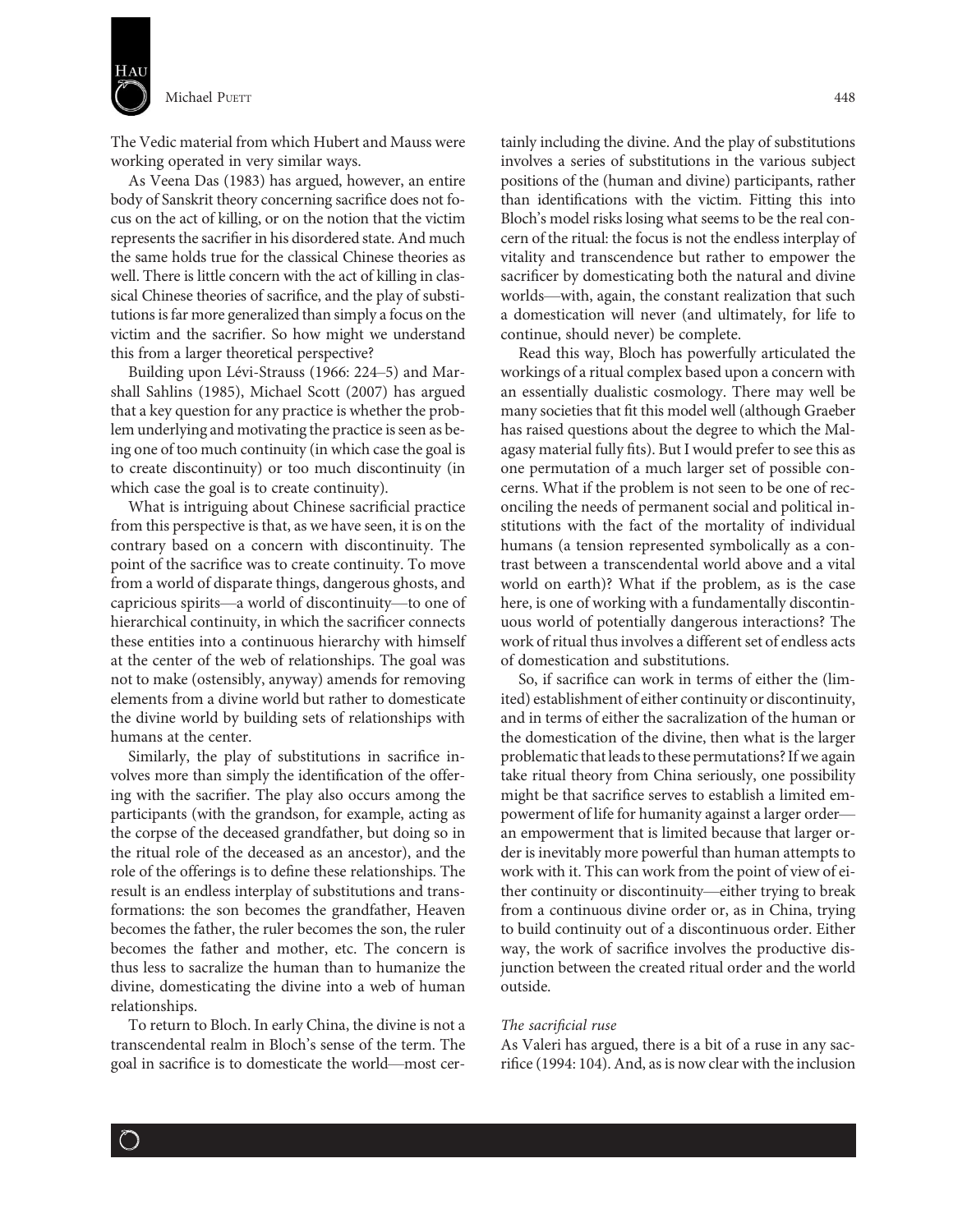

The Vedic material from which Hubert and Mauss were working operated in very similar ways.

As Veena Das (1983) has argued, however, an entire body of Sanskrit theory concerning sacrifice does not focus on the act of killing, or on the notion that the victim represents the sacrifier in his disordered state. And much the same holds true for the classical Chinese theories as well. There is little concern with the act of killing in classical Chinese theories of sacrifice, and the play of substitutions is far more generalized than simply a focus on the victim and the sacrifier. So how might we understand this from a larger theoretical perspective?

Building upon Lévi-Strauss (1966: 224–5) and Marshall Sahlins (1985), Michael Scott (2007) has argued that a key question for any practice is whether the problem underlying and motivating the practice is seen as being one of too much continuity (in which case the goal is to create discontinuity) or too much discontinuity (in which case the goal is to create continuity).

What is intriguing about Chinese sacrificial practice from this perspective is that, as we have seen, it is on the contrary based on a concern with discontinuity. The point of the sacrifice was to create continuity. To move from a world of disparate things, dangerous ghosts, and capricious spirits—a world of discontinuity—to one of hierarchical continuity, in which the sacrificer connects these entities into a continuous hierarchy with himself at the center of the web of relationships. The goal was not to make (ostensibly, anyway) amends for removing elements from a divine world but rather to domesticate the divine world by building sets of relationships with humans at the center.

Similarly, the play of substitutions in sacrifice involves more than simply the identification of the offering with the sacrifier. The play also occurs among the participants (with the grandson, for example, acting as the corpse of the deceased grandfather, but doing so in the ritual role of the deceased as an ancestor), and the role of the offerings is to define these relationships. The result is an endless interplay of substitutions and transformations: the son becomes the grandfather, Heaven becomes the father, the ruler becomes the son, the ruler becomes the father and mother, etc. The concern is thus less to sacralize the human than to humanize the divine, domesticating the divine into a web of human relationships.

To return to Bloch. In early China, the divine is not a transcendental realm in Bloch's sense of the term. The goal in sacrifice is to domesticate the world—most cer-

 $\bigcirc$ 

tainly including the divine. And the play of substitutions involves a series of substitutions in the various subject positions of the (human and divine) participants, rather than identifications with the victim. Fitting this into Bloch's model risks losing what seems to be the real concern of the ritual: the focus is not the endless interplay of vitality and transcendence but rather to empower the sacrificer by domesticating both the natural and divine worlds—with, again, the constant realization that such a domestication will never (and ultimately, for life to continue, should never) be complete.

Read this way, Bloch has powerfully articulated the workings of a ritual complex based upon a concern with an essentially dualistic cosmology. There may well be many societies that fit this model well (although Graeber has raised questions about the degree to which the Malagasy material fully fits). But I would prefer to see this as one permutation of a much larger set of possible concerns. What if the problem is not seen to be one of reconciling the needs of permanent social and political institutions with the fact of the mortality of individual humans (a tension represented symbolically as a contrast between a transcendental world above and a vital world on earth)? What if the problem, as is the case here, is one of working with a fundamentally discontinuous world of potentially dangerous interactions? The work of ritual thus involves a different set of endless acts of domestication and substitutions.

So, if sacrifice can work in terms of either the (limited) establishment of either continuity or discontinuity, and in terms of either the sacralization of the human or the domestication of the divine, then what is the larger problematic that leads to these permutations? If we again take ritual theory from China seriously, one possibility might be that sacrifice serves to establish a limited empowerment of life for humanity against a larger order an empowerment that is limited because that larger order is inevitably more powerful than human attempts to work with it. This can work from the point of view of either continuity or discontinuity—either trying to break from a continuous divine order or, as in China, trying to build continuity out of a discontinuous order. Either way, the work of sacrifice involves the productive disjunction between the created ritual order and the world outside.

#### The sacrificial ruse

As Valeri has argued, there is a bit of a ruse in any sacrifice (1994: 104). And, as is now clear with the inclusion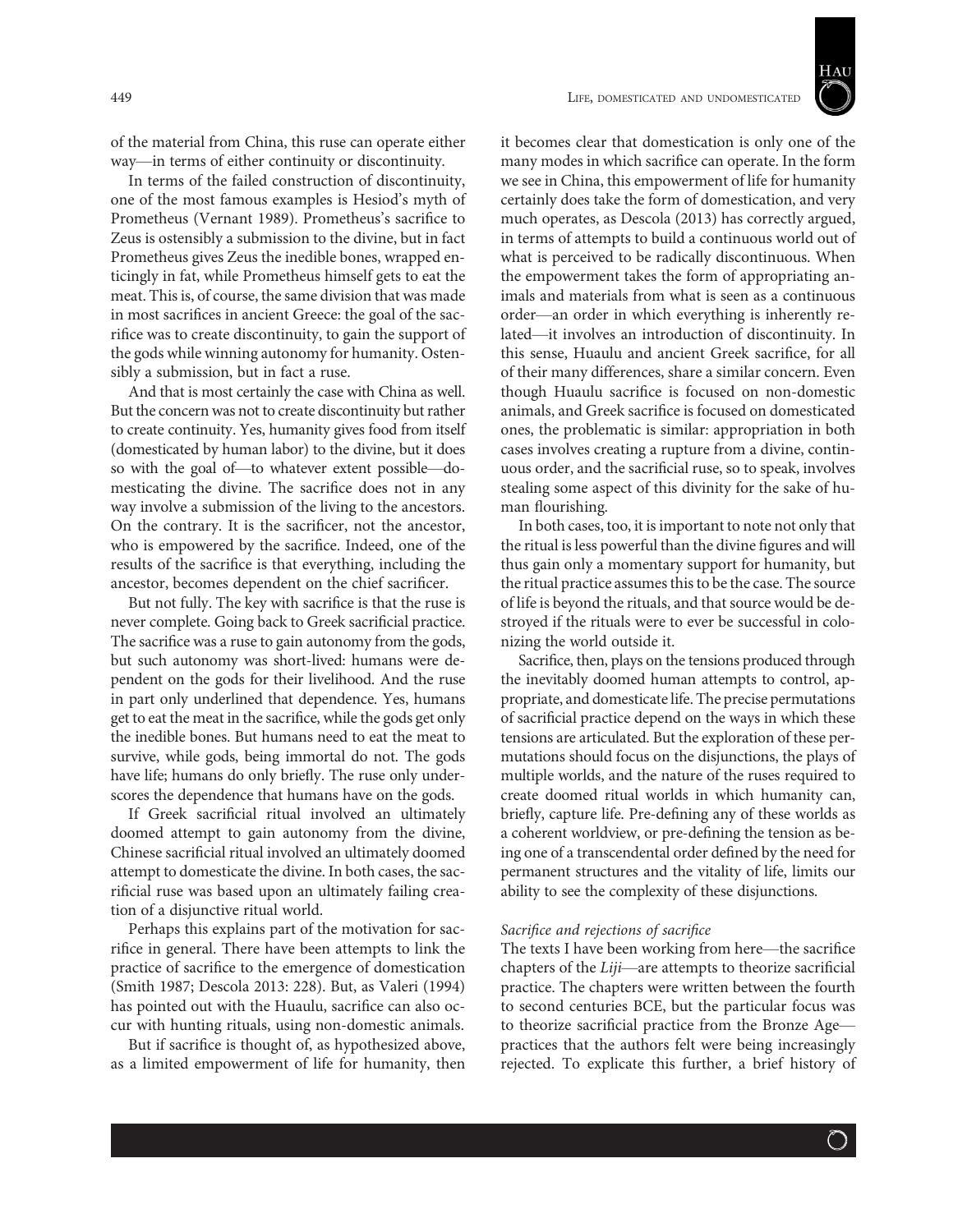

of the material from China, this ruse can operate either way—in terms of either continuity or discontinuity.

In terms of the failed construction of discontinuity, one of the most famous examples is Hesiod's myth of Prometheus (Vernant 1989). Prometheus's sacrifice to Zeus is ostensibly a submission to the divine, but in fact Prometheus gives Zeus the inedible bones, wrapped enticingly in fat, while Prometheus himself gets to eat the meat. This is, of course, the same division that was made in most sacrifices in ancient Greece: the goal of the sacrifice was to create discontinuity, to gain the support of the gods while winning autonomy for humanity. Ostensibly a submission, but in fact a ruse.

And that is most certainly the case with China as well. But the concern was not to create discontinuity but rather to create continuity. Yes, humanity gives food from itself (domesticated by human labor) to the divine, but it does so with the goal of—to whatever extent possible—domesticating the divine. The sacrifice does not in any way involve a submission of the living to the ancestors. On the contrary. It is the sacrificer, not the ancestor, who is empowered by the sacrifice. Indeed, one of the results of the sacrifice is that everything, including the ancestor, becomes dependent on the chief sacrificer.

But not fully. The key with sacrifice is that the ruse is never complete. Going back to Greek sacrificial practice. The sacrifice was a ruse to gain autonomy from the gods, but such autonomy was short-lived: humans were dependent on the gods for their livelihood. And the ruse in part only underlined that dependence. Yes, humans get to eat the meat in the sacrifice, while the gods get only the inedible bones. But humans need to eat the meat to survive, while gods, being immortal do not. The gods have life; humans do only briefly. The ruse only underscores the dependence that humans have on the gods.

If Greek sacrificial ritual involved an ultimately doomed attempt to gain autonomy from the divine, Chinese sacrificial ritual involved an ultimately doomed attempt to domesticate the divine. In both cases, the sacrificial ruse was based upon an ultimately failing creation of a disjunctive ritual world.

Perhaps this explains part of the motivation for sacrifice in general. There have been attempts to link the practice of sacrifice to the emergence of domestication (Smith 1987; Descola 2013: 228). But, as Valeri (1994) has pointed out with the Huaulu, sacrifice can also occur with hunting rituals, using non-domestic animals.

But if sacrifice is thought of, as hypothesized above, as a limited empowerment of life for humanity, then

it becomes clear that domestication is only one of the many modes in which sacrifice can operate. In the form we see in China, this empowerment of life for humanity certainly does take the form of domestication, and very much operates, as Descola (2013) has correctly argued, in terms of attempts to build a continuous world out of what is perceived to be radically discontinuous. When the empowerment takes the form of appropriating animals and materials from what is seen as a continuous order—an order in which everything is inherently related—it involves an introduction of discontinuity. In this sense, Huaulu and ancient Greek sacrifice, for all of their many differences, share a similar concern. Even though Huaulu sacrifice is focused on non-domestic animals, and Greek sacrifice is focused on domesticated ones, the problematic is similar: appropriation in both cases involves creating a rupture from a divine, continuous order, and the sacrificial ruse, so to speak, involves stealing some aspect of this divinity for the sake of human flourishing.

In both cases, too, it is important to note not only that the ritual is less powerful than the divine figures and will thus gain only a momentary support for humanity, but the ritual practice assumes this to be the case. The source of life is beyond the rituals, and that source would be destroyed if the rituals were to ever be successful in colonizing the world outside it.

Sacrifice, then, plays on the tensions produced through the inevitably doomed human attempts to control, appropriate, and domesticate life. The precise permutations of sacrificial practice depend on the ways in which these tensions are articulated. But the exploration of these permutations should focus on the disjunctions, the plays of multiple worlds, and the nature of the ruses required to create doomed ritual worlds in which humanity can, briefly, capture life. Pre-defining any of these worlds as a coherent worldview, or pre-defining the tension as being one of a transcendental order defined by the need for permanent structures and the vitality of life, limits our ability to see the complexity of these disjunctions.

### Sacrifice and rejections of sacrifice

The texts I have been working from here—the sacrifice chapters of the Liji—are attempts to theorize sacrificial practice. The chapters were written between the fourth to second centuries BCE, but the particular focus was to theorize sacrificial practice from the Bronze Age practices that the authors felt were being increasingly rejected. To explicate this further, a brief history of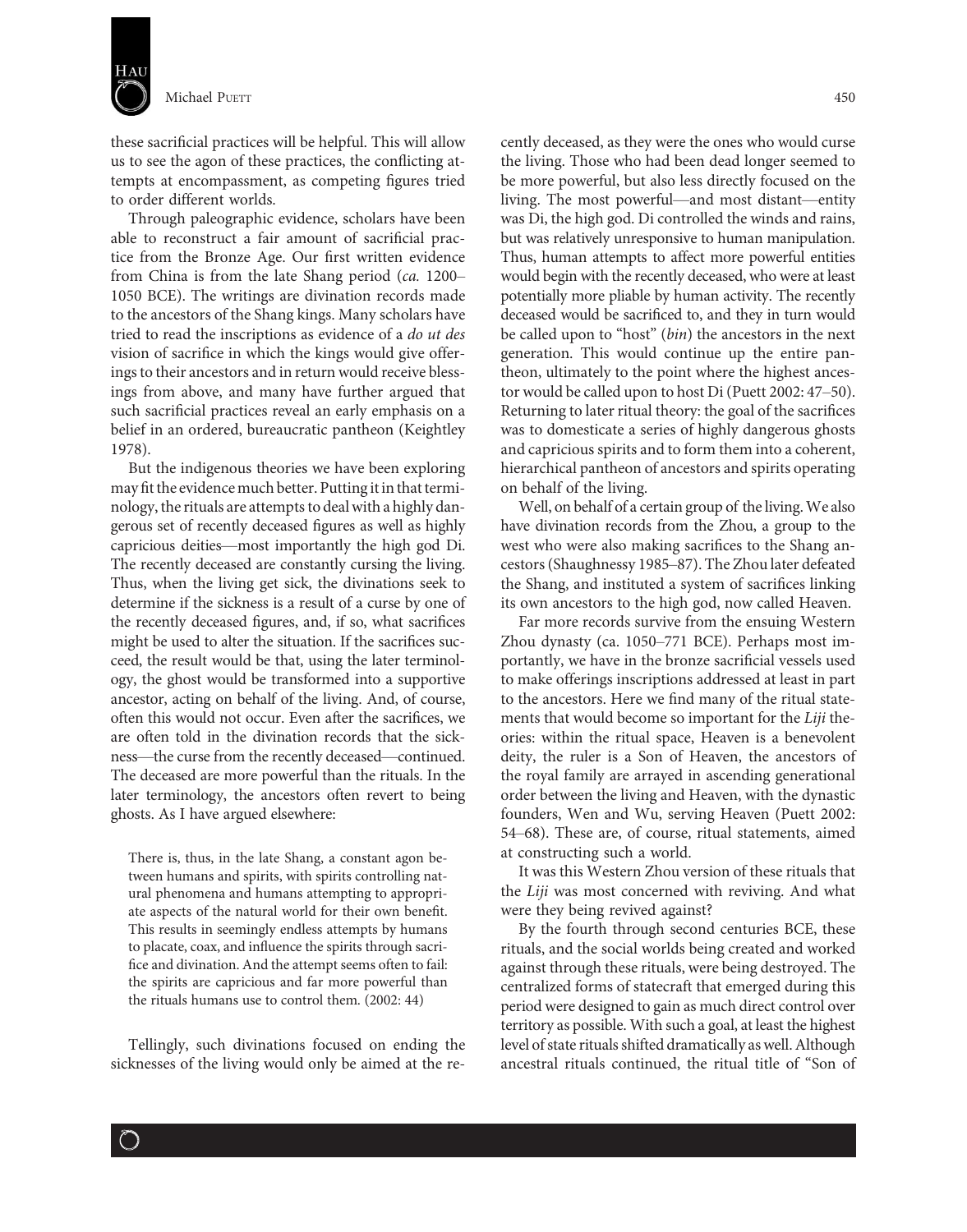

these sacrificial practices will be helpful. This will allow us to see the agon of these practices, the conflicting attempts at encompassment, as competing figures tried to order different worlds.

Through paleographic evidence, scholars have been able to reconstruct a fair amount of sacrificial practice from the Bronze Age. Our first written evidence from China is from the late Shang period (ca. 1200– 1050 BCE). The writings are divination records made to the ancestors of the Shang kings. Many scholars have tried to read the inscriptions as evidence of a do ut des vision of sacrifice in which the kings would give offerings to their ancestors and in return would receive blessings from above, and many have further argued that such sacrificial practices reveal an early emphasis on a belief in an ordered, bureaucratic pantheon (Keightley 1978).

But the indigenous theories we have been exploring may fit the evidence much better. Putting it in that terminology, the rituals are attempts to deal with a highly dangerous set of recently deceased figures as well as highly capricious deities—most importantly the high god Di. The recently deceased are constantly cursing the living. Thus, when the living get sick, the divinations seek to determine if the sickness is a result of a curse by one of the recently deceased figures, and, if so, what sacrifices might be used to alter the situation. If the sacrifices succeed, the result would be that, using the later terminology, the ghost would be transformed into a supportive ancestor, acting on behalf of the living. And, of course, often this would not occur. Even after the sacrifices, we are often told in the divination records that the sickness—the curse from the recently deceased—continued. The deceased are more powerful than the rituals. In the later terminology, the ancestors often revert to being ghosts. As I have argued elsewhere:

There is, thus, in the late Shang, a constant agon between humans and spirits, with spirits controlling natural phenomena and humans attempting to appropriate aspects of the natural world for their own benefit. This results in seemingly endless attempts by humans to placate, coax, and influence the spirits through sacrifice and divination. And the attempt seems often to fail: the spirits are capricious and far more powerful than the rituals humans use to control them. (2002: 44)

Tellingly, such divinations focused on ending the sicknesses of the living would only be aimed at the re-

 $\bigcirc$ 

cently deceased, as they were the ones who would curse the living. Those who had been dead longer seemed to be more powerful, but also less directly focused on the living. The most powerful—and most distant—entity was Di, the high god. Di controlled the winds and rains, but was relatively unresponsive to human manipulation. Thus, human attempts to affect more powerful entities would begin with the recently deceased, who were at least potentially more pliable by human activity. The recently deceased would be sacrificed to, and they in turn would be called upon to "host" (bin) the ancestors in the next generation. This would continue up the entire pantheon, ultimately to the point where the highest ancestor would be called upon to host Di (Puett 2002: 47–50). Returning to later ritual theory: the goal of the sacrifices was to domesticate a series of highly dangerous ghosts and capricious spirits and to form them into a coherent, hierarchical pantheon of ancestors and spirits operating on behalf of the living.

Well, on behalf of a certain group of the living.We also have divination records from the Zhou, a group to the west who were also making sacrifices to the Shang ancestors (Shaughnessy 1985–87). The Zhou later defeated the Shang, and instituted a system of sacrifices linking its own ancestors to the high god, now called Heaven.

Far more records survive from the ensuing Western Zhou dynasty (ca. 1050–771 BCE). Perhaps most importantly, we have in the bronze sacrificial vessels used to make offerings inscriptions addressed at least in part to the ancestors. Here we find many of the ritual statements that would become so important for the Liji theories: within the ritual space, Heaven is a benevolent deity, the ruler is a Son of Heaven, the ancestors of the royal family are arrayed in ascending generational order between the living and Heaven, with the dynastic founders, Wen and Wu, serving Heaven (Puett 2002: 54–68). These are, of course, ritual statements, aimed at constructing such a world.

It was this Western Zhou version of these rituals that the Liji was most concerned with reviving. And what were they being revived against?

By the fourth through second centuries BCE, these rituals, and the social worlds being created and worked against through these rituals, were being destroyed. The centralized forms of statecraft that emerged during this period were designed to gain as much direct control over territory as possible. With such a goal, at least the highest level of state rituals shifted dramatically as well. Although ancestral rituals continued, the ritual title of "Son of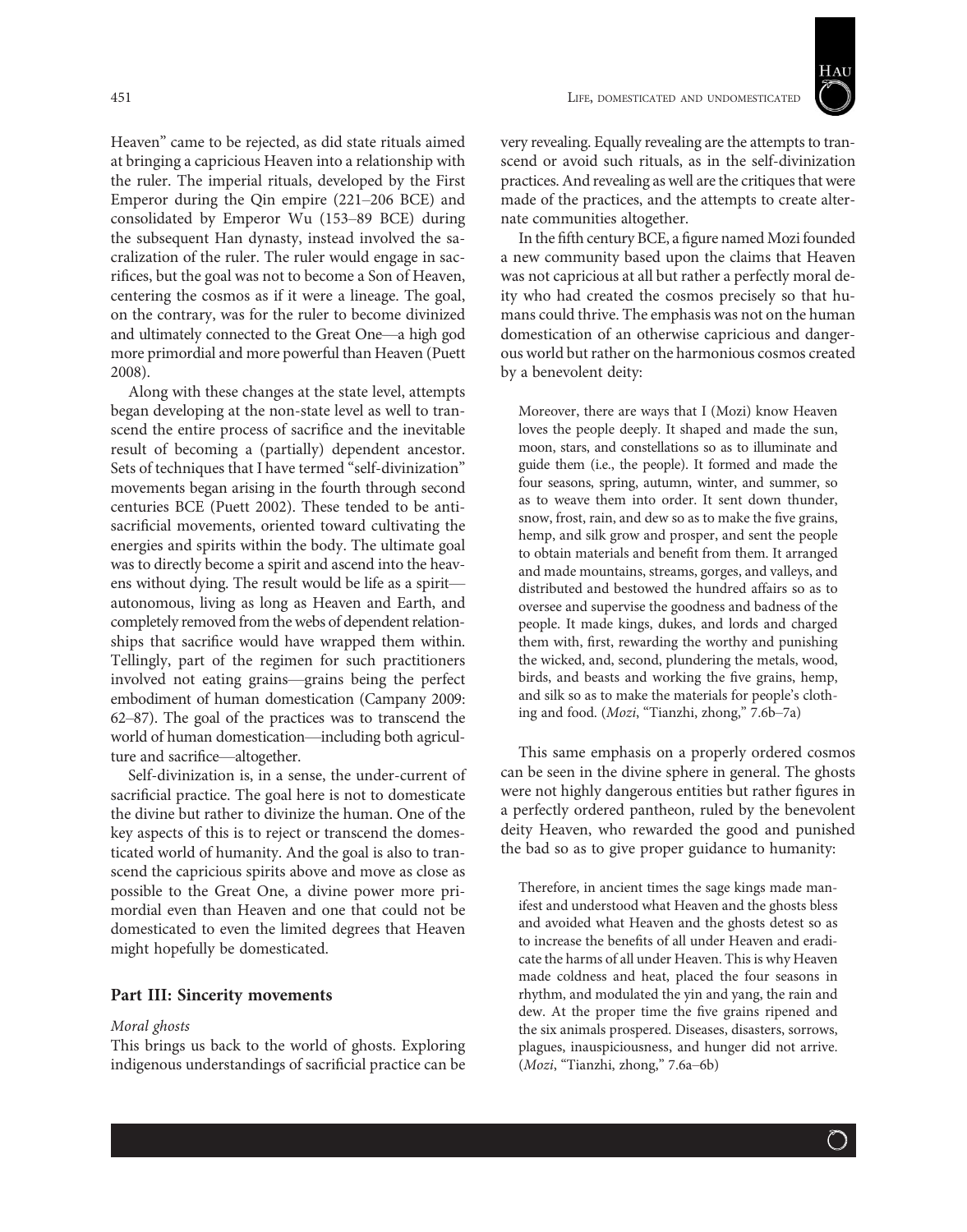

Heaven" came to be rejected, as did state rituals aimed at bringing a capricious Heaven into a relationship with the ruler. The imperial rituals, developed by the First Emperor during the Qin empire (221–206 BCE) and consolidated by Emperor Wu (153–89 BCE) during the subsequent Han dynasty, instead involved the sacralization of the ruler. The ruler would engage in sacrifices, but the goal was not to become a Son of Heaven, centering the cosmos as if it were a lineage. The goal, on the contrary, was for the ruler to become divinized and ultimately connected to the Great One—a high god more primordial and more powerful than Heaven (Puett 2008).

Along with these changes at the state level, attempts began developing at the non-state level as well to transcend the entire process of sacrifice and the inevitable result of becoming a (partially) dependent ancestor. Sets of techniques that I have termed "self-divinization" movements began arising in the fourth through second centuries BCE (Puett 2002). These tended to be antisacrificial movements, oriented toward cultivating the energies and spirits within the body. The ultimate goal was to directly become a spirit and ascend into the heavens without dying. The result would be life as a spirit autonomous, living as long as Heaven and Earth, and completely removed from the webs of dependent relationships that sacrifice would have wrapped them within. Tellingly, part of the regimen for such practitioners involved not eating grains—grains being the perfect embodiment of human domestication (Campany 2009: 62–87). The goal of the practices was to transcend the world of human domestication—including both agriculture and sacrifice—altogether.

Self-divinization is, in a sense, the under-current of sacrificial practice. The goal here is not to domesticate the divine but rather to divinize the human. One of the key aspects of this is to reject or transcend the domesticated world of humanity. And the goal is also to transcend the capricious spirits above and move as close as possible to the Great One, a divine power more primordial even than Heaven and one that could not be domesticated to even the limited degrees that Heaven might hopefully be domesticated.

# Part III: Sincerity movements

## Moral ghosts

This brings us back to the world of ghosts. Exploring indigenous understandings of sacrificial practice can be

very revealing. Equally revealing are the attempts to transcend or avoid such rituals, as in the self-divinization practices. And revealing as well are the critiques that were made of the practices, and the attempts to create alternate communities altogether.

In the fifth century BCE, a figure named Mozi founded a new community based upon the claims that Heaven was not capricious at all but rather a perfectly moral deity who had created the cosmos precisely so that humans could thrive. The emphasis was not on the human domestication of an otherwise capricious and dangerous world but rather on the harmonious cosmos created by a benevolent deity:

Moreover, there are ways that I (Mozi) know Heaven loves the people deeply. It shaped and made the sun, moon, stars, and constellations so as to illuminate and guide them (i.e., the people). It formed and made the four seasons, spring, autumn, winter, and summer, so as to weave them into order. It sent down thunder, snow, frost, rain, and dew so as to make the five grains, hemp, and silk grow and prosper, and sent the people to obtain materials and benefit from them. It arranged and made mountains, streams, gorges, and valleys, and distributed and bestowed the hundred affairs so as to oversee and supervise the goodness and badness of the people. It made kings, dukes, and lords and charged them with, first, rewarding the worthy and punishing the wicked, and, second, plundering the metals, wood, birds, and beasts and working the five grains, hemp, and silk so as to make the materials for people's clothing and food. (Mozi, "Tianzhi, zhong," 7.6b–7a)

This same emphasis on a properly ordered cosmos can be seen in the divine sphere in general. The ghosts were not highly dangerous entities but rather figures in a perfectly ordered pantheon, ruled by the benevolent deity Heaven, who rewarded the good and punished the bad so as to give proper guidance to humanity:

Therefore, in ancient times the sage kings made manifest and understood what Heaven and the ghosts bless and avoided what Heaven and the ghosts detest so as to increase the benefits of all under Heaven and eradicate the harms of all under Heaven. This is why Heaven made coldness and heat, placed the four seasons in rhythm, and modulated the yin and yang, the rain and dew. At the proper time the five grains ripened and the six animals prospered. Diseases, disasters, sorrows, plagues, inauspiciousness, and hunger did not arrive. (Mozi, "Tianzhi, zhong," 7.6a–6b)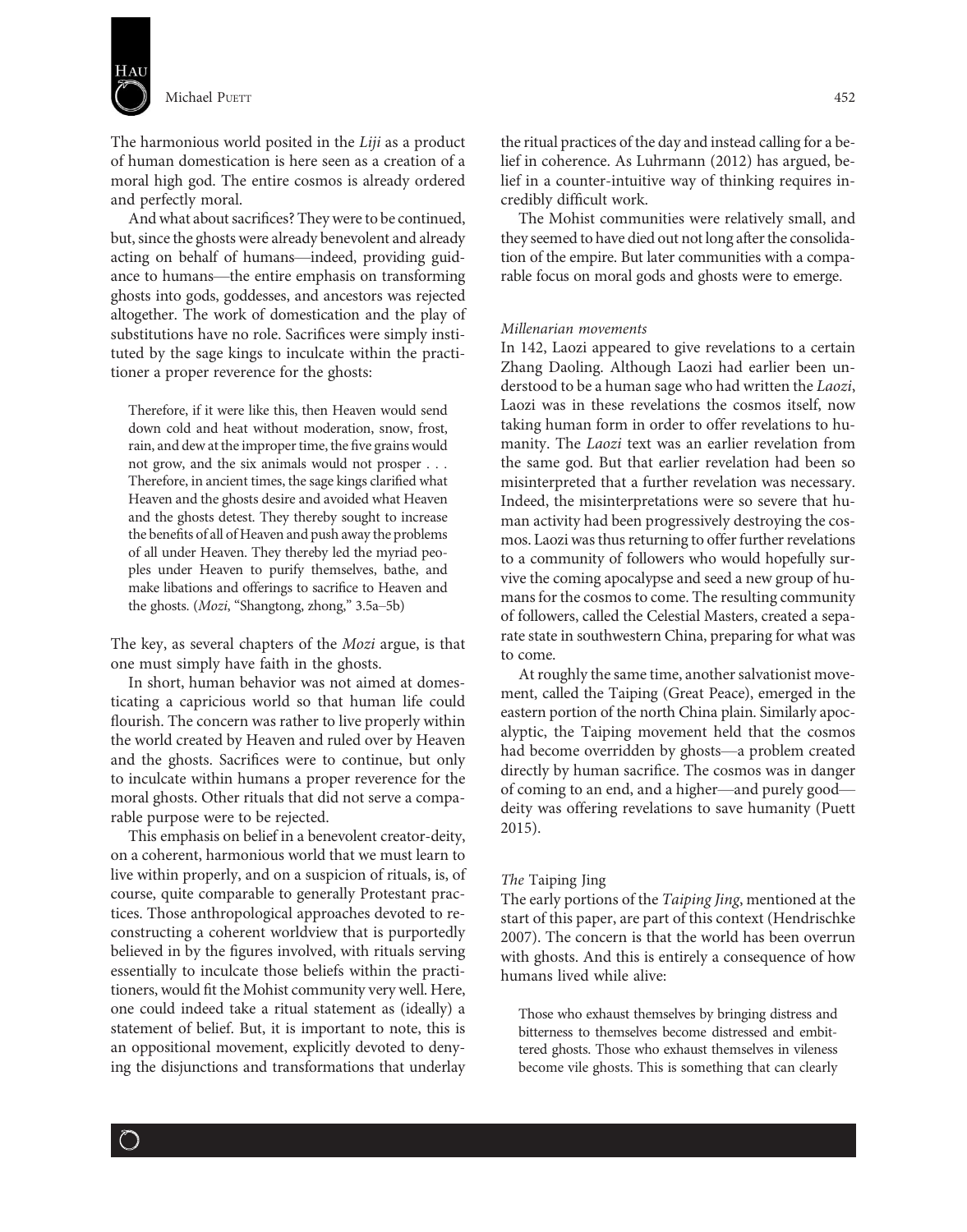

The harmonious world posited in the Liji as a product of human domestication is here seen as a creation of a moral high god. The entire cosmos is already ordered and perfectly moral.

And what about sacrifices? They were to be continued, but, since the ghosts were already benevolent and already acting on behalf of humans—indeed, providing guidance to humans—the entire emphasis on transforming ghosts into gods, goddesses, and ancestors was rejected altogether. The work of domestication and the play of substitutions have no role. Sacrifices were simply instituted by the sage kings to inculcate within the practitioner a proper reverence for the ghosts:

Therefore, if it were like this, then Heaven would send down cold and heat without moderation, snow, frost, rain, and dew at the improper time, the five grains would not grow, and the six animals would not prosper ... Therefore, in ancient times, the sage kings clarified what Heaven and the ghosts desire and avoided what Heaven and the ghosts detest. They thereby sought to increase the benefits of all of Heaven and push away the problems of all under Heaven. They thereby led the myriad peoples under Heaven to purify themselves, bathe, and make libations and offerings to sacrifice to Heaven and the ghosts. (Mozi, "Shangtong, zhong," 3.5a–5b)

The key, as several chapters of the Mozi argue, is that one must simply have faith in the ghosts.

In short, human behavior was not aimed at domesticating a capricious world so that human life could flourish. The concern was rather to live properly within the world created by Heaven and ruled over by Heaven and the ghosts. Sacrifices were to continue, but only to inculcate within humans a proper reverence for the moral ghosts. Other rituals that did not serve a comparable purpose were to be rejected.

This emphasis on belief in a benevolent creator-deity, on a coherent, harmonious world that we must learn to live within properly, and on a suspicion of rituals, is, of course, quite comparable to generally Protestant practices. Those anthropological approaches devoted to reconstructing a coherent worldview that is purportedly believed in by the figures involved, with rituals serving essentially to inculcate those beliefs within the practitioners, would fit the Mohist community very well. Here, one could indeed take a ritual statement as (ideally) a statement of belief. But, it is important to note, this is an oppositional movement, explicitly devoted to denying the disjunctions and transformations that underlay

the ritual practices of the day and instead calling for a belief in coherence. As Luhrmann (2012) has argued, belief in a counter-intuitive way of thinking requires incredibly difficult work.

The Mohist communities were relatively small, and they seemed to have died out not long after the consolidation of the empire. But later communities with a comparable focus on moral gods and ghosts were to emerge.

# Millenarian movements

In 142, Laozi appeared to give revelations to a certain Zhang Daoling. Although Laozi had earlier been understood to be a human sage who had written the Laozi, Laozi was in these revelations the cosmos itself, now taking human form in order to offer revelations to humanity. The Laozi text was an earlier revelation from the same god. But that earlier revelation had been so misinterpreted that a further revelation was necessary. Indeed, the misinterpretations were so severe that human activity had been progressively destroying the cosmos. Laozi was thus returning to offer further revelations to a community of followers who would hopefully survive the coming apocalypse and seed a new group of humans for the cosmos to come. The resulting community of followers, called the Celestial Masters, created a separate state in southwestern China, preparing for what was to come.

At roughly the same time, another salvationist movement, called the Taiping (Great Peace), emerged in the eastern portion of the north China plain. Similarly apocalyptic, the Taiping movement held that the cosmos had become overridden by ghosts—a problem created directly by human sacrifice. The cosmos was in danger of coming to an end, and a higher—and purely good deity was offering revelations to save humanity (Puett 2015).

# The Taiping Jing

The early portions of the Taiping Jing, mentioned at the start of this paper, are part of this context (Hendrischke 2007). The concern is that the world has been overrun with ghosts. And this is entirely a consequence of how humans lived while alive:

Those who exhaust themselves by bringing distress and bitterness to themselves become distressed and embittered ghosts. Those who exhaust themselves in vileness become vile ghosts. This is something that can clearly

 $\bigcirc$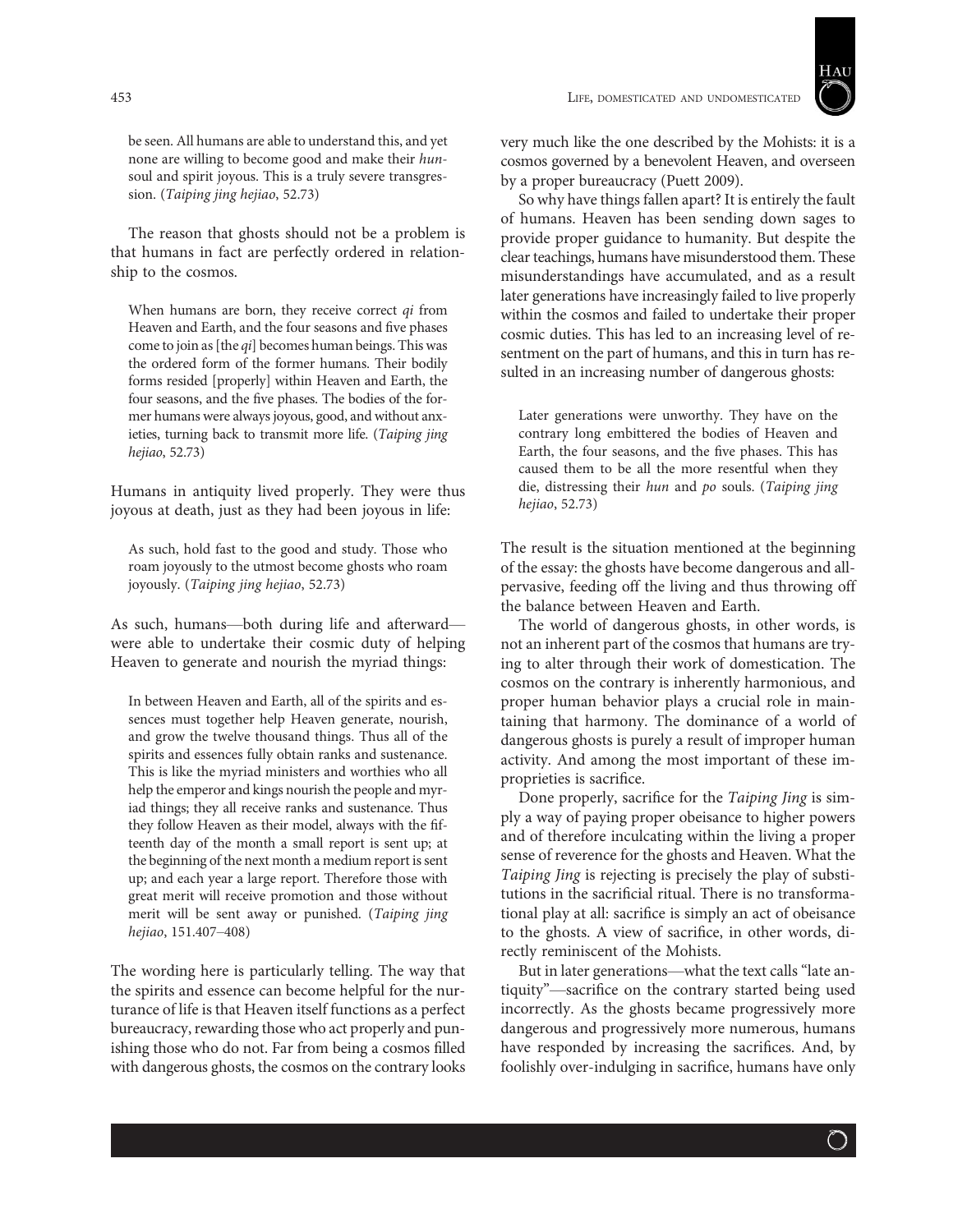

be seen. All humans are able to understand this, and yet none are willing to become good and make their hunsoul and spirit joyous. This is a truly severe transgression. (Taiping jing hejiao, 52.73)

The reason that ghosts should not be a problem is that humans in fact are perfectly ordered in relationship to the cosmos.

When humans are born, they receive correct qi from Heaven and Earth, and the four seasons and five phases come to join as [the qi] becomes human beings. This was the ordered form of the former humans. Their bodily forms resided [properly] within Heaven and Earth, the four seasons, and the five phases. The bodies of the former humans were always joyous, good, and without anxieties, turning back to transmit more life. (Taiping jing hejiao, 52.73)

Humans in antiquity lived properly. They were thus joyous at death, just as they had been joyous in life:

As such, hold fast to the good and study. Those who roam joyously to the utmost become ghosts who roam joyously. (Taiping jing hejiao, 52.73)

As such, humans—both during life and afterward were able to undertake their cosmic duty of helping Heaven to generate and nourish the myriad things:

In between Heaven and Earth, all of the spirits and essences must together help Heaven generate, nourish, and grow the twelve thousand things. Thus all of the spirits and essences fully obtain ranks and sustenance. This is like the myriad ministers and worthies who all help the emperor and kings nourish the people and myriad things; they all receive ranks and sustenance. Thus they follow Heaven as their model, always with the fifteenth day of the month a small report is sent up; at the beginning of the next month a medium report is sent up; and each year a large report. Therefore those with great merit will receive promotion and those without merit will be sent away or punished. (Taiping jing hejiao, 151.407–408)

The wording here is particularly telling. The way that the spirits and essence can become helpful for the nurturance of life is that Heaven itself functions as a perfect bureaucracy, rewarding those who act properly and punishing those who do not. Far from being a cosmos filled with dangerous ghosts, the cosmos on the contrary looks very much like the one described by the Mohists: it is a cosmos governed by a benevolent Heaven, and overseen by a proper bureaucracy (Puett 2009).

So why have things fallen apart? It is entirely the fault of humans. Heaven has been sending down sages to provide proper guidance to humanity. But despite the clear teachings, humans have misunderstood them. These misunderstandings have accumulated, and as a result later generations have increasingly failed to live properly within the cosmos and failed to undertake their proper cosmic duties. This has led to an increasing level of resentment on the part of humans, and this in turn has resulted in an increasing number of dangerous ghosts:

Later generations were unworthy. They have on the contrary long embittered the bodies of Heaven and Earth, the four seasons, and the five phases. This has caused them to be all the more resentful when they die, distressing their hun and po souls. (Taiping jing hejiao, 52.73)

The result is the situation mentioned at the beginning of the essay: the ghosts have become dangerous and allpervasive, feeding off the living and thus throwing off the balance between Heaven and Earth.

The world of dangerous ghosts, in other words, is not an inherent part of the cosmos that humans are trying to alter through their work of domestication. The cosmos on the contrary is inherently harmonious, and proper human behavior plays a crucial role in maintaining that harmony. The dominance of a world of dangerous ghosts is purely a result of improper human activity. And among the most important of these improprieties is sacrifice.

Done properly, sacrifice for the Taiping Jing is simply a way of paying proper obeisance to higher powers and of therefore inculcating within the living a proper sense of reverence for the ghosts and Heaven. What the Taiping Jing is rejecting is precisely the play of substitutions in the sacrificial ritual. There is no transformational play at all: sacrifice is simply an act of obeisance to the ghosts. A view of sacrifice, in other words, directly reminiscent of the Mohists.

But in later generations—what the text calls "late antiquity"—sacrifice on the contrary started being used incorrectly. As the ghosts became progressively more dangerous and progressively more numerous, humans have responded by increasing the sacrifices. And, by foolishly over-indulging in sacrifice, humans have only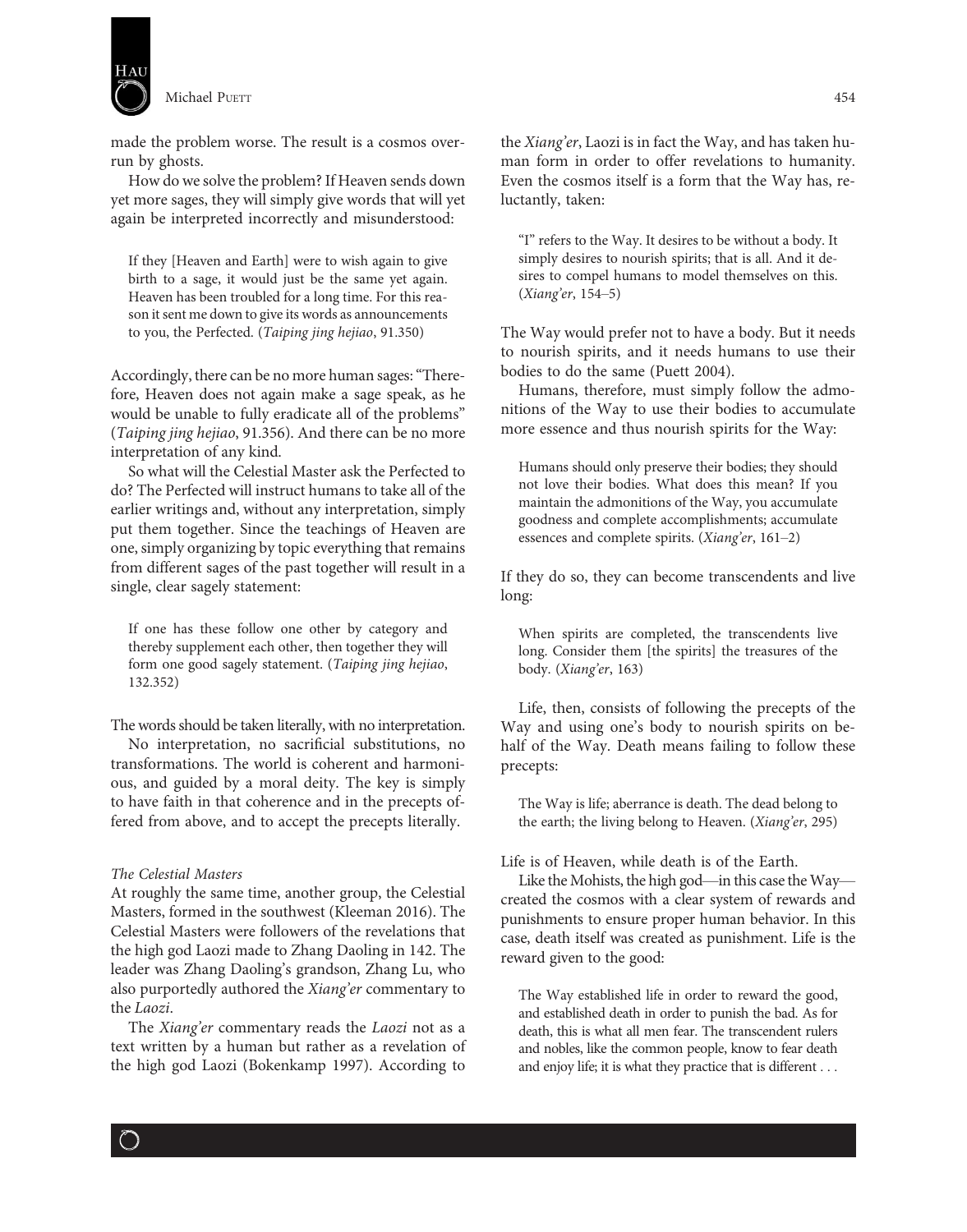

made the problem worse. The result is a cosmos overrun by ghosts.

How do we solve the problem? If Heaven sends down yet more sages, they will simply give words that will yet again be interpreted incorrectly and misunderstood:

If they [Heaven and Earth] were to wish again to give birth to a sage, it would just be the same yet again. Heaven has been troubled for a long time. For this reason it sent me down to give its words as announcements to you, the Perfected. (Taiping jing hejiao, 91.350)

Accordingly, there can be no more human sages:"Therefore, Heaven does not again make a sage speak, as he would be unable to fully eradicate all of the problems" (Taiping jing hejiao, 91.356). And there can be no more interpretation of any kind.

So what will the Celestial Master ask the Perfected to do? The Perfected will instruct humans to take all of the earlier writings and, without any interpretation, simply put them together. Since the teachings of Heaven are one, simply organizing by topic everything that remains from different sages of the past together will result in a single, clear sagely statement:

If one has these follow one other by category and thereby supplement each other, then together they will form one good sagely statement. (Taiping jing hejiao, 132.352)

The words should be taken literally, with no interpretation.

No interpretation, no sacrificial substitutions, no transformations. The world is coherent and harmonious, and guided by a moral deity. The key is simply to have faith in that coherence and in the precepts offered from above, and to accept the precepts literally.

#### The Celestial Masters

 $\bigcirc$ 

At roughly the same time, another group, the Celestial Masters, formed in the southwest (Kleeman 2016). The Celestial Masters were followers of the revelations that the high god Laozi made to Zhang Daoling in 142. The leader was Zhang Daoling's grandson, Zhang Lu, who also purportedly authored the Xiang'er commentary to the Laozi.

The Xiang'er commentary reads the Laozi not as a text written by a human but rather as a revelation of the high god Laozi (Bokenkamp 1997). According to

the Xiang'er, Laozi is in fact the Way, and has taken human form in order to offer revelations to humanity. Even the cosmos itself is a form that the Way has, reluctantly, taken:

"I" refers to the Way. It desires to be without a body. It simply desires to nourish spirits; that is all. And it desires to compel humans to model themselves on this. (Xiang'er, 154–5)

The Way would prefer not to have a body. But it needs to nourish spirits, and it needs humans to use their bodies to do the same (Puett 2004).

Humans, therefore, must simply follow the admonitions of the Way to use their bodies to accumulate more essence and thus nourish spirits for the Way:

Humans should only preserve their bodies; they should not love their bodies. What does this mean? If you maintain the admonitions of the Way, you accumulate goodness and complete accomplishments; accumulate essences and complete spirits. (Xiang'er, 161–2)

If they do so, they can become transcendents and live long:

When spirits are completed, the transcendents live long. Consider them [the spirits] the treasures of the body. (Xiang'er, 163)

Life, then, consists of following the precepts of the Way and using one's body to nourish spirits on behalf of the Way. Death means failing to follow these precepts:

The Way is life; aberrance is death. The dead belong to the earth; the living belong to Heaven. (Xiang'er, 295)

# Life is of Heaven, while death is of the Earth.

Like the Mohists, the high god—in this case the Way created the cosmos with a clear system of rewards and punishments to ensure proper human behavior. In this case, death itself was created as punishment. Life is the reward given to the good:

The Way established life in order to reward the good, and established death in order to punish the bad. As for death, this is what all men fear. The transcendent rulers and nobles, like the common people, know to fear death and enjoy life; it is what they practice that is different ...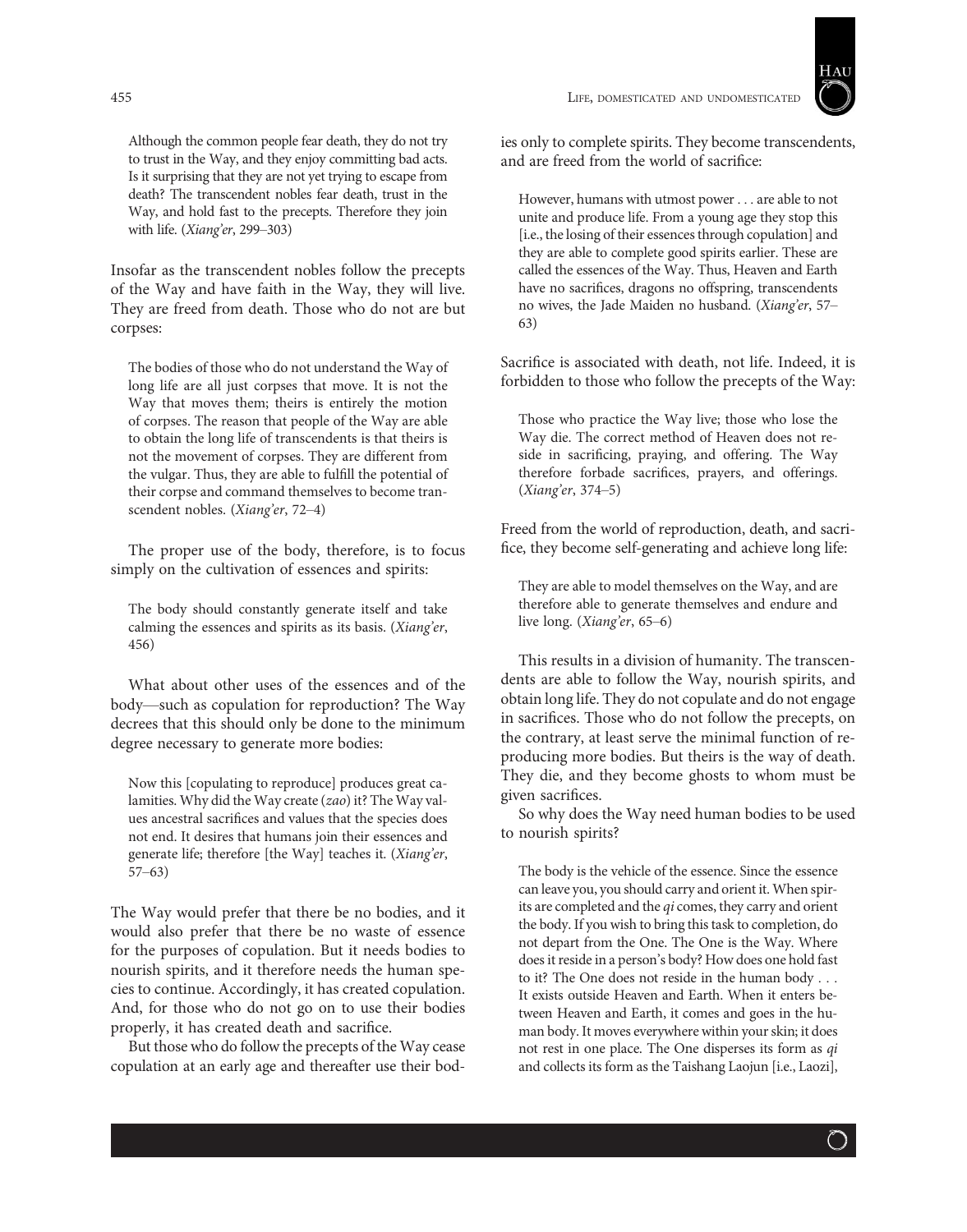Although the common people fear death, they do not try to trust in the Way, and they enjoy committing bad acts. Is it surprising that they are not yet trying to escape from death? The transcendent nobles fear death, trust in the Way, and hold fast to the precepts. Therefore they join with life. (Xiang'er, 299–303)

Insofar as the transcendent nobles follow the precepts of the Way and have faith in the Way, they will live. They are freed from death. Those who do not are but corpses:

The bodies of those who do not understand the Way of long life are all just corpses that move. It is not the Way that moves them; theirs is entirely the motion of corpses. The reason that people of the Way are able to obtain the long life of transcendents is that theirs is not the movement of corpses. They are different from the vulgar. Thus, they are able to fulfill the potential of their corpse and command themselves to become transcendent nobles. (Xiang'er, 72–4)

The proper use of the body, therefore, is to focus simply on the cultivation of essences and spirits:

The body should constantly generate itself and take calming the essences and spirits as its basis. (Xiang'er, 456)

What about other uses of the essences and of the body—such as copulation for reproduction? The Way decrees that this should only be done to the minimum degree necessary to generate more bodies:

Now this [copulating to reproduce] produces great calamities. Why did the Way create (zao) it? The Way values ancestral sacrifices and values that the species does not end. It desires that humans join their essences and generate life; therefore [the Way] teaches it. (Xiang'er, 57–63)

The Way would prefer that there be no bodies, and it would also prefer that there be no waste of essence for the purposes of copulation. But it needs bodies to nourish spirits, and it therefore needs the human species to continue. Accordingly, it has created copulation. And, for those who do not go on to use their bodies properly, it has created death and sacrifice.

But those who do follow the precepts of the Way cease copulation at an early age and thereafter use their bod-

455 LIFE, DOMESTICATED AND UNDOMESTICATED



ies only to complete spirits. They become transcendents, and are freed from the world of sacrifice:

However, humans with utmost power ... are able to not unite and produce life. From a young age they stop this [i.e., the losing of their essences through copulation] and they are able to complete good spirits earlier. These are called the essences of the Way. Thus, Heaven and Earth have no sacrifices, dragons no offspring, transcendents no wives, the Jade Maiden no husband. (Xiang'er, 57– 63)

Sacrifice is associated with death, not life. Indeed, it is forbidden to those who follow the precepts of the Way:

Those who practice the Way live; those who lose the Way die. The correct method of Heaven does not reside in sacrificing, praying, and offering. The Way therefore forbade sacrifices, prayers, and offerings. (Xiang'er, 374–5)

Freed from the world of reproduction, death, and sacrifice, they become self-generating and achieve long life:

They are able to model themselves on the Way, and are therefore able to generate themselves and endure and live long. (Xiang'er, 65–6)

This results in a division of humanity. The transcendents are able to follow the Way, nourish spirits, and obtain long life. They do not copulate and do not engage in sacrifices. Those who do not follow the precepts, on the contrary, at least serve the minimal function of reproducing more bodies. But theirs is the way of death. They die, and they become ghosts to whom must be given sacrifices.

So why does the Way need human bodies to be used to nourish spirits?

The body is the vehicle of the essence. Since the essence can leave you, you should carry and orient it. When spirits are completed and the  $qi$  comes, they carry and orient the body. If you wish to bring this task to completion, do not depart from the One. The One is the Way. Where does it reside in a person's body? How does one hold fast to it? The One does not reside in the human body ... It exists outside Heaven and Earth. When it enters between Heaven and Earth, it comes and goes in the human body. It moves everywhere within your skin; it does not rest in one place. The One disperses its form as qi and collects its form as the Taishang Laojun [i.e., Laozi],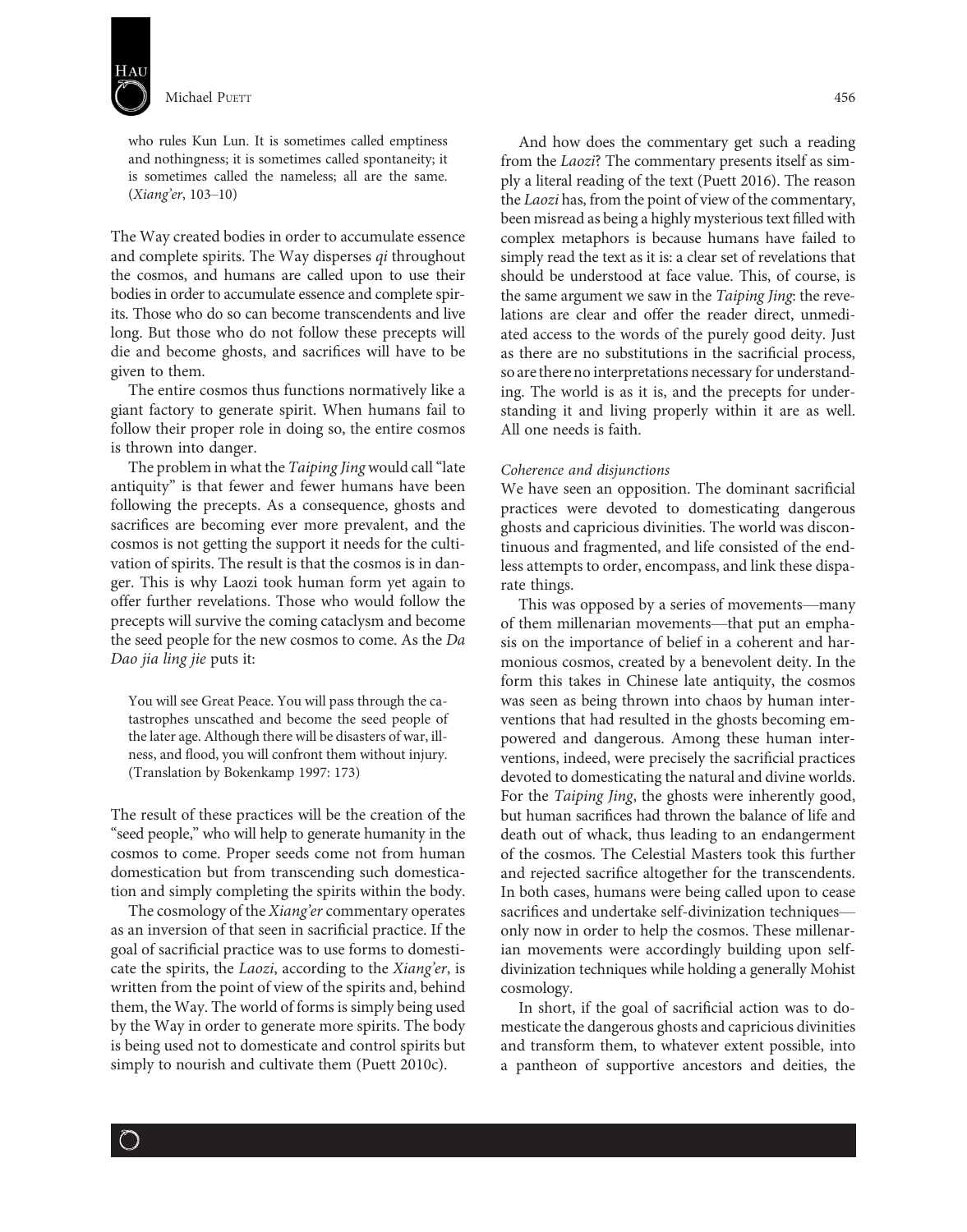

who rules Kun Lun. It is sometimes called emptiness and nothingness; it is sometimes called spontaneity; it is sometimes called the nameless; all are the same. (Xiang'er, 103–10)

The Way created bodies in order to accumulate essence and complete spirits. The Way disperses qi throughout the cosmos, and humans are called upon to use their bodies in order to accumulate essence and complete spirits. Those who do so can become transcendents and live long. But those who do not follow these precepts will die and become ghosts, and sacrifices will have to be given to them.

The entire cosmos thus functions normatively like a giant factory to generate spirit. When humans fail to follow their proper role in doing so, the entire cosmos is thrown into danger.

The problem in what the Taiping Jing would call "late" antiquity" is that fewer and fewer humans have been following the precepts. As a consequence, ghosts and sacrifices are becoming ever more prevalent, and the cosmos is not getting the support it needs for the cultivation of spirits. The result is that the cosmos is in danger. This is why Laozi took human form yet again to offer further revelations. Those who would follow the precepts will survive the coming cataclysm and become the seed people for the new cosmos to come. As the Da Dao jia ling jie puts it:

You will see Great Peace. You will pass through the catastrophes unscathed and become the seed people of the later age. Although there will be disasters of war, illness, and flood, you will confront them without injury. (Translation by Bokenkamp 1997: 173)

The result of these practices will be the creation of the "seed people," who will help to generate humanity in the cosmos to come. Proper seeds come not from human domestication but from transcending such domestication and simply completing the spirits within the body.

The cosmology of the Xiang'er commentary operates as an inversion of that seen in sacrificial practice. If the goal of sacrificial practice was to use forms to domesticate the spirits, the Laozi, according to the Xiang'er, is written from the point of view of the spirits and, behind them, the Way. The world of forms is simply being used by the Way in order to generate more spirits. The body is being used not to domesticate and control spirits but simply to nourish and cultivate them (Puett 2010c).

And how does the commentary get such a reading from the Laozi? The commentary presents itself as simply a literal reading of the text (Puett 2016). The reason the Laozi has, from the point of view of the commentary, been misread as being a highly mysterious text filled with complex metaphors is because humans have failed to simply read the text as it is: a clear set of revelations that should be understood at face value. This, of course, is the same argument we saw in the Taiping Jing: the revelations are clear and offer the reader direct, unmediated access to the words of the purely good deity. Just as there are no substitutions in the sacrificial process, so are there no interpretations necessary for understanding. The world is as it is, and the precepts for understanding it and living properly within it are as well. All one needs is faith.

#### Coherence and disjunctions

We have seen an opposition. The dominant sacrificial practices were devoted to domesticating dangerous ghosts and capricious divinities. The world was discontinuous and fragmented, and life consisted of the endless attempts to order, encompass, and link these disparate things.

This was opposed by a series of movements—many of them millenarian movements—that put an emphasis on the importance of belief in a coherent and harmonious cosmos, created by a benevolent deity. In the form this takes in Chinese late antiquity, the cosmos was seen as being thrown into chaos by human interventions that had resulted in the ghosts becoming empowered and dangerous. Among these human interventions, indeed, were precisely the sacrificial practices devoted to domesticating the natural and divine worlds. For the Taiping Jing, the ghosts were inherently good, but human sacrifices had thrown the balance of life and death out of whack, thus leading to an endangerment of the cosmos. The Celestial Masters took this further and rejected sacrifice altogether for the transcendents. In both cases, humans were being called upon to cease sacrifices and undertake self-divinization techniques only now in order to help the cosmos. These millenarian movements were accordingly building upon selfdivinization techniques while holding a generally Mohist cosmology.

In short, if the goal of sacrificial action was to domesticate the dangerous ghosts and capricious divinities and transform them, to whatever extent possible, into a pantheon of supportive ancestors and deities, the

 $\bigcirc$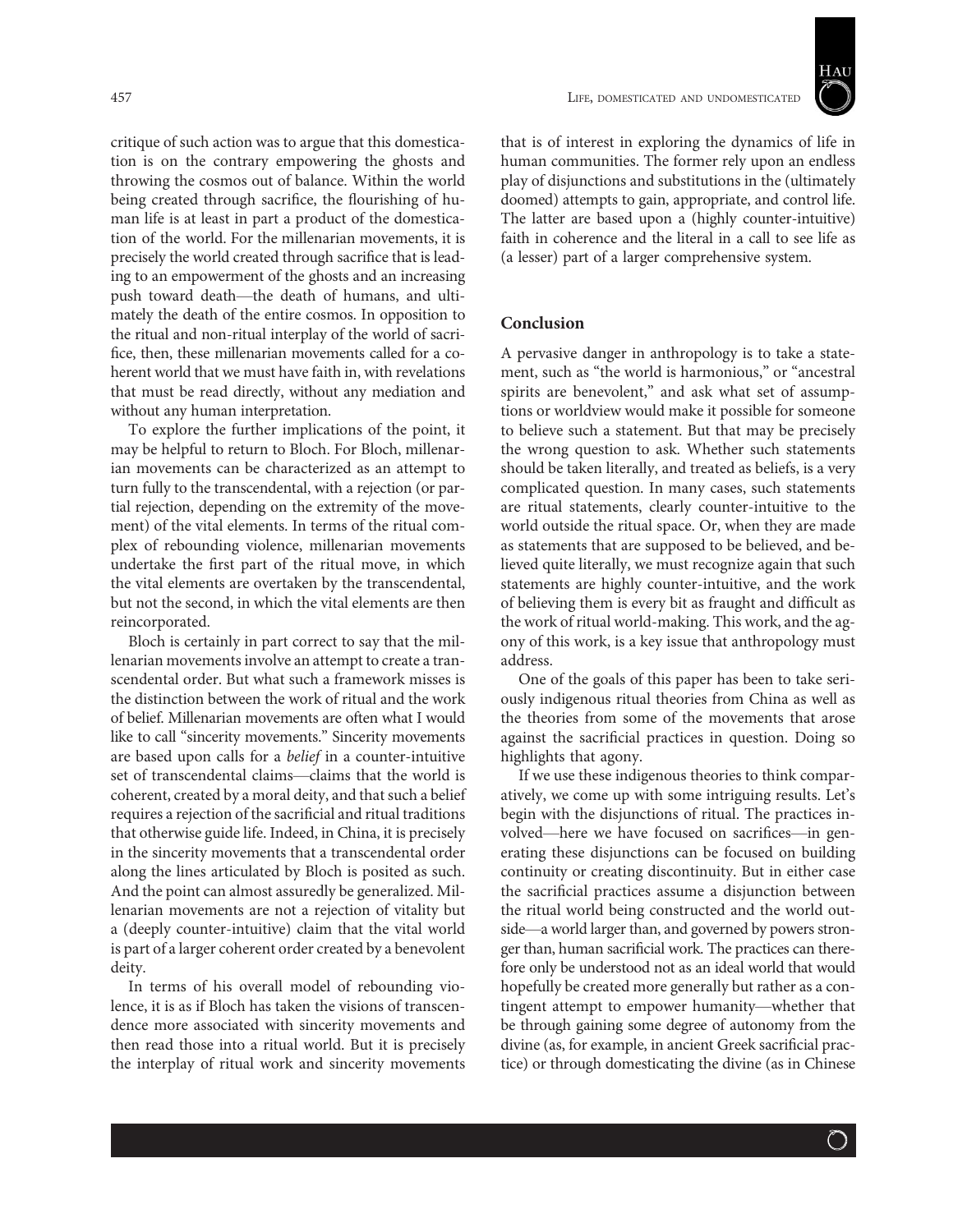457 LIFE, DOMESTICATED AND UNDOMESTICATED



critique of such action was to argue that this domestication is on the contrary empowering the ghosts and throwing the cosmos out of balance. Within the world being created through sacrifice, the flourishing of human life is at least in part a product of the domestication of the world. For the millenarian movements, it is precisely the world created through sacrifice that is leading to an empowerment of the ghosts and an increasing push toward death—the death of humans, and ultimately the death of the entire cosmos. In opposition to the ritual and non-ritual interplay of the world of sacrifice, then, these millenarian movements called for a coherent world that we must have faith in, with revelations that must be read directly, without any mediation and without any human interpretation.

To explore the further implications of the point, it may be helpful to return to Bloch. For Bloch, millenarian movements can be characterized as an attempt to turn fully to the transcendental, with a rejection (or partial rejection, depending on the extremity of the movement) of the vital elements. In terms of the ritual complex of rebounding violence, millenarian movements undertake the first part of the ritual move, in which the vital elements are overtaken by the transcendental, but not the second, in which the vital elements are then reincorporated.

Bloch is certainly in part correct to say that the millenarian movements involve an attempt to create a transcendental order. But what such a framework misses is the distinction between the work of ritual and the work of belief. Millenarian movements are often what I would like to call "sincerity movements." Sincerity movements are based upon calls for a belief in a counter-intuitive set of transcendental claims—claims that the world is coherent, created by a moral deity, and that such a belief requires a rejection of the sacrificial and ritual traditions that otherwise guide life. Indeed, in China, it is precisely in the sincerity movements that a transcendental order along the lines articulated by Bloch is posited as such. And the point can almost assuredly be generalized. Millenarian movements are not a rejection of vitality but a (deeply counter-intuitive) claim that the vital world is part of a larger coherent order created by a benevolent deity.

In terms of his overall model of rebounding violence, it is as if Bloch has taken the visions of transcendence more associated with sincerity movements and then read those into a ritual world. But it is precisely the interplay of ritual work and sincerity movements

that is of interest in exploring the dynamics of life in human communities. The former rely upon an endless play of disjunctions and substitutions in the (ultimately doomed) attempts to gain, appropriate, and control life. The latter are based upon a (highly counter-intuitive) faith in coherence and the literal in a call to see life as (a lesser) part of a larger comprehensive system.

# Conclusion

A pervasive danger in anthropology is to take a statement, such as "the world is harmonious," or "ancestral spirits are benevolent," and ask what set of assumptions or worldview would make it possible for someone to believe such a statement. But that may be precisely the wrong question to ask. Whether such statements should be taken literally, and treated as beliefs, is a very complicated question. In many cases, such statements are ritual statements, clearly counter-intuitive to the world outside the ritual space. Or, when they are made as statements that are supposed to be believed, and believed quite literally, we must recognize again that such statements are highly counter-intuitive, and the work of believing them is every bit as fraught and difficult as the work of ritual world-making. This work, and the agony of this work, is a key issue that anthropology must address.

One of the goals of this paper has been to take seriously indigenous ritual theories from China as well as the theories from some of the movements that arose against the sacrificial practices in question. Doing so highlights that agony.

If we use these indigenous theories to think comparatively, we come up with some intriguing results. Let's begin with the disjunctions of ritual. The practices involved—here we have focused on sacrifices—in generating these disjunctions can be focused on building continuity or creating discontinuity. But in either case the sacrificial practices assume a disjunction between the ritual world being constructed and the world outside—a world larger than, and governed by powers stronger than, human sacrificial work. The practices can therefore only be understood not as an ideal world that would hopefully be created more generally but rather as a contingent attempt to empower humanity—whether that be through gaining some degree of autonomy from the divine (as, for example, in ancient Greek sacrificial practice) or through domesticating the divine (as in Chinese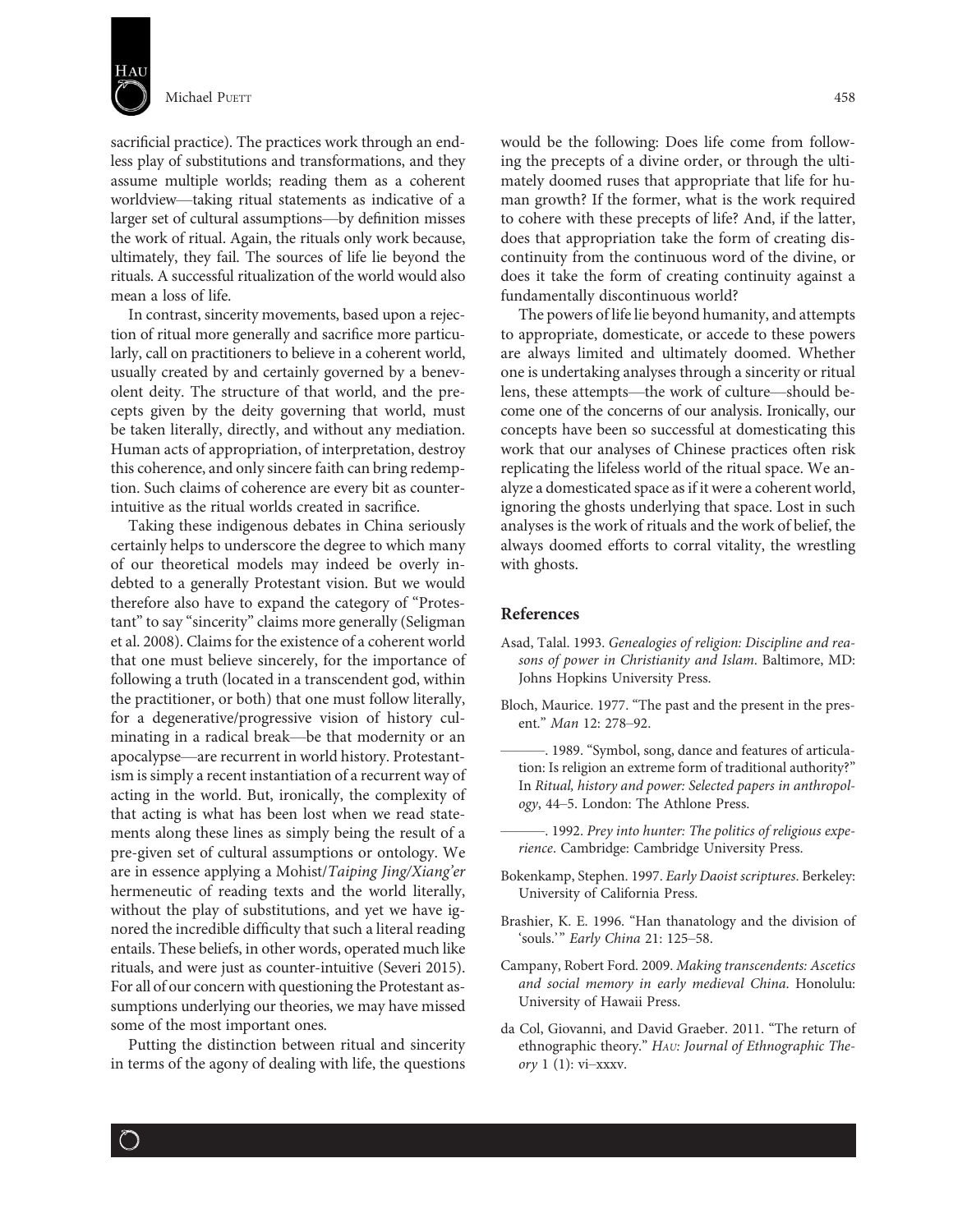

sacrificial practice). The practices work through an endless play of substitutions and transformations, and they assume multiple worlds; reading them as a coherent worldview—taking ritual statements as indicative of a larger set of cultural assumptions—by definition misses the work of ritual. Again, the rituals only work because, ultimately, they fail. The sources of life lie beyond the rituals. A successful ritualization of the world would also mean a loss of life.

In contrast, sincerity movements, based upon a rejection of ritual more generally and sacrifice more particularly, call on practitioners to believe in a coherent world, usually created by and certainly governed by a benevolent deity. The structure of that world, and the precepts given by the deity governing that world, must be taken literally, directly, and without any mediation. Human acts of appropriation, of interpretation, destroy this coherence, and only sincere faith can bring redemption. Such claims of coherence are every bit as counterintuitive as the ritual worlds created in sacrifice.

Taking these indigenous debates in China seriously certainly helps to underscore the degree to which many of our theoretical models may indeed be overly indebted to a generally Protestant vision. But we would therefore also have to expand the category of "Protestant" to say "sincerity" claims more generally (Seligman et al. 2008). Claims for the existence of a coherent world that one must believe sincerely, for the importance of following a truth (located in a transcendent god, within the practitioner, or both) that one must follow literally, for a degenerative/progressive vision of history culminating in a radical break—be that modernity or an apocalypse—are recurrent in world history. Protestantism is simply a recent instantiation of a recurrent way of acting in the world. But, ironically, the complexity of that acting is what has been lost when we read statements along these lines as simply being the result of a pre-given set of cultural assumptions or ontology. We are in essence applying a Mohist/Taiping Jing/Xiang'er hermeneutic of reading texts and the world literally, without the play of substitutions, and yet we have ignored the incredible difficulty that such a literal reading entails. These beliefs, in other words, operated much like rituals, and were just as counter-intuitive (Severi 2015). For all of our concern with questioning the Protestant assumptions underlying our theories, we may have missed some of the most important ones.

Putting the distinction between ritual and sincerity in terms of the agony of dealing with life, the questions

would be the following: Does life come from following the precepts of a divine order, or through the ultimately doomed ruses that appropriate that life for human growth? If the former, what is the work required to cohere with these precepts of life? And, if the latter, does that appropriation take the form of creating discontinuity from the continuous word of the divine, or does it take the form of creating continuity against a fundamentally discontinuous world?

The powers of life lie beyond humanity, and attempts to appropriate, domesticate, or accede to these powers are always limited and ultimately doomed. Whether one is undertaking analyses through a sincerity or ritual lens, these attempts—the work of culture—should become one of the concerns of our analysis. Ironically, our concepts have been so successful at domesticating this work that our analyses of Chinese practices often risk replicating the lifeless world of the ritual space. We analyze a domesticated space as if it were a coherent world, ignoring the ghosts underlying that space. Lost in such analyses is the work of rituals and the work of belief, the always doomed efforts to corral vitality, the wrestling with ghosts.

# References

- Asad, Talal. 1993. Genealogies of religion: Discipline and reasons of power in Christianity and Islam. Baltimore, MD: Johns Hopkins University Press.
- Bloch, Maurice. 1977. "The past and the present in the present." Man 12: 278–92.
- ———. 1989. "Symbol, song, dance and features of articulation: Is religion an extreme form of traditional authority?" In Ritual, history and power: Selected papers in anthropology, 44–5. London: The Athlone Press.
- –. 1992. Prey into hunter: The politics of religious experience. Cambridge: Cambridge University Press.
- Bokenkamp, Stephen. 1997. Early Daoist scriptures. Berkeley: University of California Press.
- Brashier, K. E. 1996. "Han thanatology and the division of 'souls.'" Early China 21: 125–58.
- Campany, Robert Ford. 2009. Making transcendents: Ascetics and social memory in early medieval China. Honolulu: University of Hawaii Press.
- da Col, Giovanni, and David Graeber. 2011. "The return of ethnographic theory." HAU: Journal of Ethnographic Theory  $1(1)$ : vi-xxxv.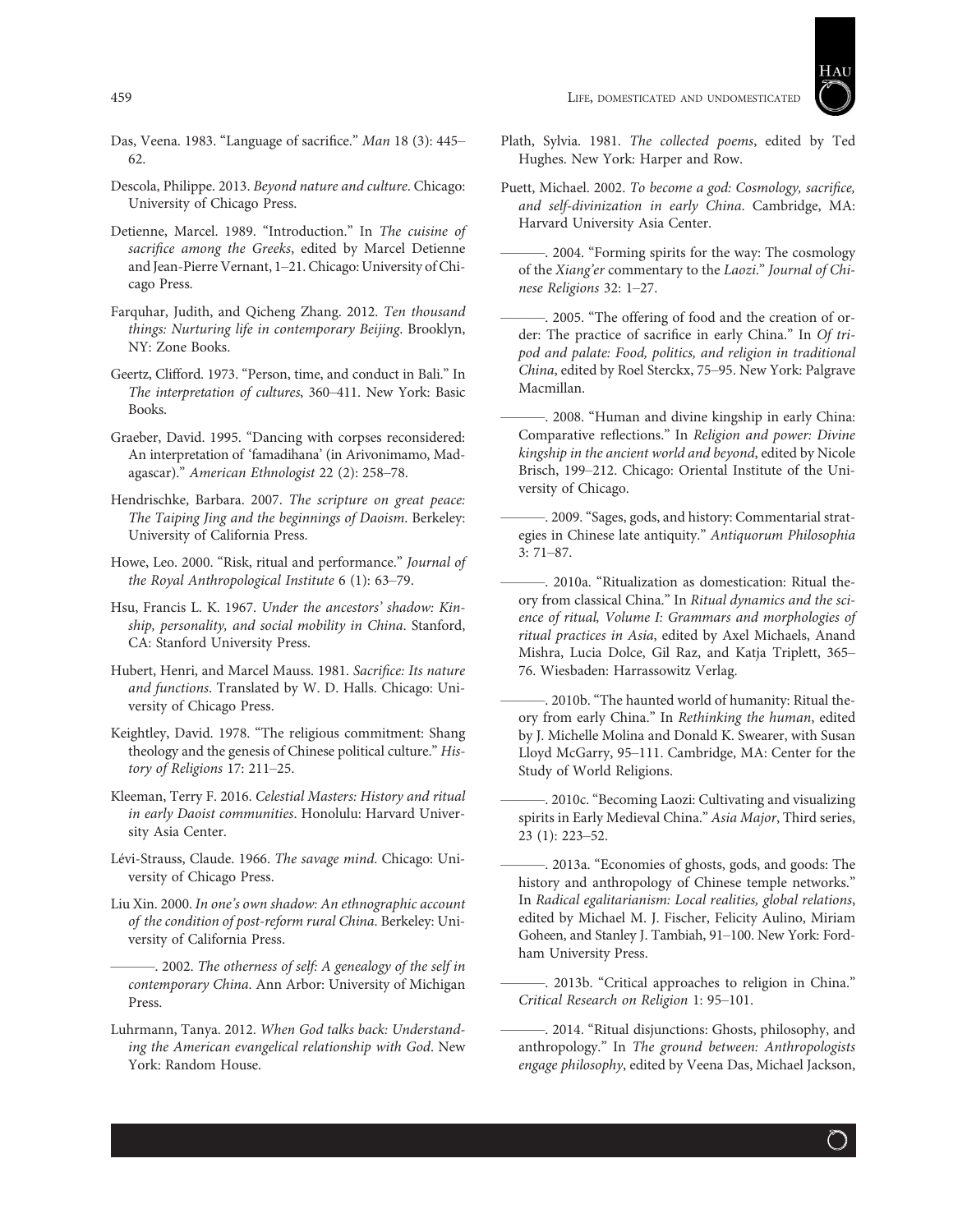

- Das, Veena. 1983. "Language of sacrifice." Man 18 (3): 445– 62.
- Descola, Philippe. 2013. Beyond nature and culture. Chicago: University of Chicago Press.
- Detienne, Marcel. 1989. "Introduction." In The cuisine of sacrifice among the Greeks, edited by Marcel Detienne and Jean-Pierre Vernant, 1–21. Chicago: University of Chicago Press.
- Farquhar, Judith, and Qicheng Zhang. 2012. Ten thousand things: Nurturing life in contemporary Beijing. Brooklyn, NY: Zone Books.
- Geertz, Clifford. 1973. "Person, time, and conduct in Bali." In The interpretation of cultures, 360–411. New York: Basic Books.
- Graeber, David. 1995. "Dancing with corpses reconsidered: An interpretation of 'famadihana' (in Arivonimamo, Madagascar)." American Ethnologist 22 (2): 258–78.
- Hendrischke, Barbara. 2007. The scripture on great peace: The Taiping Jing and the beginnings of Daoism. Berkeley: University of California Press.
- Howe, Leo. 2000. "Risk, ritual and performance." Journal of the Royal Anthropological Institute 6 (1): 63–79.
- Hsu, Francis L. K. 1967. Under the ancestors' shadow: Kinship, personality, and social mobility in China. Stanford, CA: Stanford University Press.
- Hubert, Henri, and Marcel Mauss. 1981. Sacrifice: Its nature and functions. Translated by W. D. Halls. Chicago: University of Chicago Press.
- Keightley, David. 1978. "The religious commitment: Shang theology and the genesis of Chinese political culture." History of Religions 17: 211–25.
- Kleeman, Terry F. 2016. Celestial Masters: History and ritual in early Daoist communities. Honolulu: Harvard University Asia Center.
- Lévi-Strauss, Claude. 1966. The savage mind. Chicago: University of Chicago Press.
- Liu Xin. 2000. In one's own shadow: An ethnographic account of the condition of post-reform rural China. Berkeley: University of California Press.

. 2002. The otherness of self: A genealogy of the self in contemporary China. Ann Arbor: University of Michigan Press.

Luhrmann, Tanya. 2012. When God talks back: Understanding the American evangelical relationship with God. New York: Random House.

- Plath, Sylvia. 1981. The collected poems, edited by Ted Hughes. New York: Harper and Row.
- Puett, Michael. 2002. To become a god: Cosmology, sacrifice, and self-divinization in early China. Cambridge, MA: Harvard University Asia Center.
- -. 2004. "Forming spirits for the way: The cosmology of the Xiang'er commentary to the Laozi." Journal of Chinese Religions 32: 1–27.
- ———. 2005. "The offering of food and the creation of order: The practice of sacrifice in early China." In Of tripod and palate: Food, politics, and religion in traditional China, edited by Roel Sterckx, 75–95. New York: Palgrave Macmillan.
- ———. 2008. "Human and divine kingship in early China: Comparative reflections." In Religion and power: Divine kingship in the ancient world and beyond, edited by Nicole Brisch, 199–212. Chicago: Oriental Institute of the University of Chicago.
- ———. 2009. "Sages, gods, and history: Commentarial strategies in Chinese late antiquity." Antiquorum Philosophia 3: 71–87.
- ———. 2010a. "Ritualization as domestication: Ritual theory from classical China." In Ritual dynamics and the science of ritual, Volume I: Grammars and morphologies of ritual practices in Asia, edited by Axel Michaels, Anand Mishra, Lucia Dolce, Gil Raz, and Katja Triplett, 365– 76. Wiesbaden: Harrassowitz Verlag.
- 2010b. "The haunted world of humanity: Ritual theory from early China." In Rethinking the human, edited by J. Michelle Molina and Donald K. Swearer, with Susan Lloyd McGarry, 95–111. Cambridge, MA: Center for the Study of World Religions.
- -. 2010c. "Becoming Laozi: Cultivating and visualizing spirits in Early Medieval China." Asia Major, Third series, 23 (1): 223–52.
- ———. 2013a. "Economies of ghosts, gods, and goods: The history and anthropology of Chinese temple networks." In Radical egalitarianism: Local realities, global relations, edited by Michael M. J. Fischer, Felicity Aulino, Miriam Goheen, and Stanley J. Tambiah, 91–100. New York: Fordham University Press.
- -. 2013b. "Critical approaches to religion in China." Critical Research on Religion 1: 95–101.
- -. 2014. "Ritual disjunctions: Ghosts, philosophy, and anthropology." In The ground between: Anthropologists engage philosophy, edited by Veena Das, Michael Jackson,